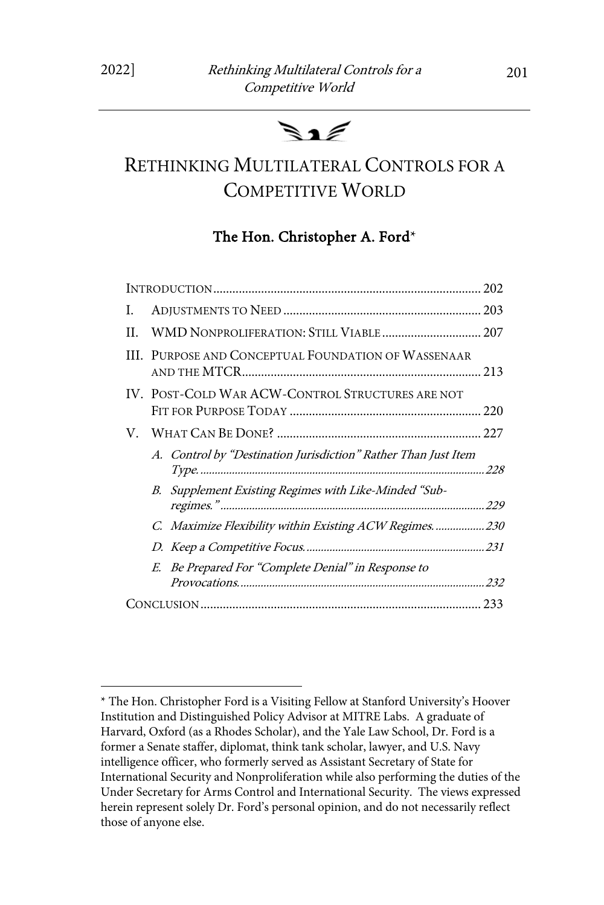# $\mathbf{s} \cdot \mathbf{z}$

## RETHINKING MULTILATERAL CONTROLS FOR A COMPETITIVE WORLD

## The Hon. Christopher A. Ford\*

| L. |                                                                |  |
|----|----------------------------------------------------------------|--|
| НL | WMD NONPROLIFERATION: STILL VIABLE 207                         |  |
|    | <b>III. PURPOSE AND CONCEPTUAL FOUNDATION OF WASSENAAR</b>     |  |
|    | IV. POST-COLD WAR ACW-CONTROL STRUCTURES ARE NOT               |  |
|    |                                                                |  |
|    | A. Control by "Destination Jurisdiction" Rather Than Just Item |  |
|    | B. Supplement Existing Regimes with Like-Minded "Sub-          |  |
|    | C. Maximize Flexibility within Existing ACW Regimes.  230      |  |
|    |                                                                |  |
|    | E. Be Prepared For "Complete Denial" in Response to            |  |
|    |                                                                |  |

<sup>\*</sup> The Hon. Christopher Ford is a Visiting Fellow at Stanford University's Hoover Institution and Distinguished Policy Advisor at MITRE Labs. A graduate of Harvard, Oxford (as a Rhodes Scholar), and the Yale Law School, Dr. Ford is a former a Senate staffer, diplomat, think tank scholar, lawyer, and U.S. Navy intelligence officer, who formerly served as Assistant Secretary of State for International Security and Nonproliferation while also performing the duties of the Under Secretary for Arms Control and International Security. The views expressed herein represent solely Dr. Ford's personal opinion, and do not necessarily reflect those of anyone else.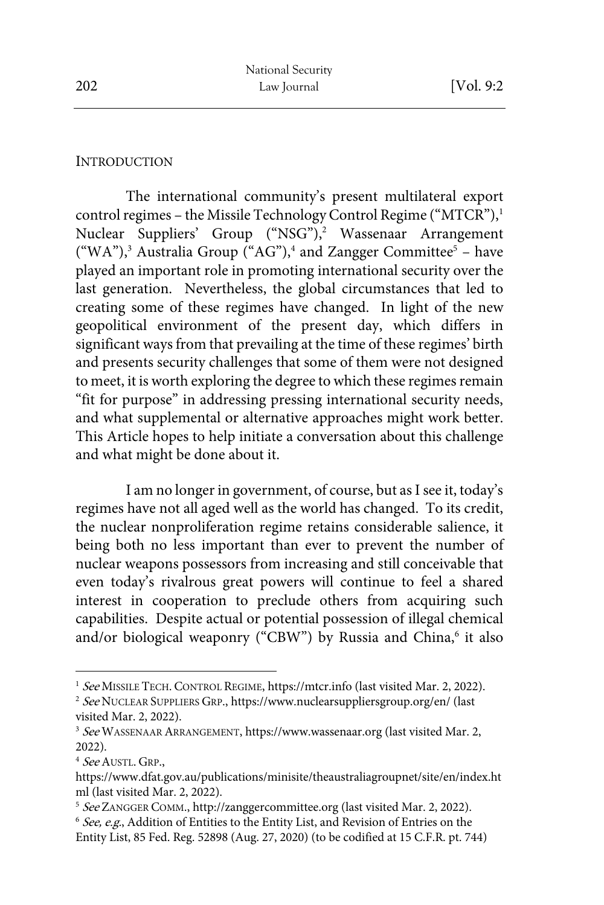#### **INTRODUCTION**

The international community's present multilateral export control regimes - the Missile Technology Control Regime ("MTCR"),<sup>1</sup> Nuclear Suppliers' Group ("NSG"),<sup>2</sup> Wassenaar Arrangement ("WA"),<sup>3</sup> Australia Group ("AG"),<sup>4</sup> and Zangger Committee<sup>5</sup> – have played an important role in promoting international security over the last generation. Nevertheless, the global circumstances that led to creating some of these regimes have changed. In light of the new geopolitical environment of the present day, which differs in significant ways from that prevailing at the time of these regimes' birth and presents security challenges that some of them were not designed to meet, it is worth exploring the degree to which these regimes remain "fit for purpose" in addressing pressing international security needs, and what supplemental or alternative approaches might work better. This Article hopes to help initiate a conversation about this challenge and what might be done about it.

I am no longer in government, of course, but as I see it, today's regimes have not all aged well as the world has changed. To its credit, the nuclear nonproliferation regime retains considerable salience, it being both no less important than ever to prevent the number of nuclear weapons possessors from increasing and still conceivable that even today's rivalrous great powers will continue to feel a shared interest in cooperation to preclude others from acquiring such capabilities. Despite actual or potential possession of illegal chemical and/or biological weaponry ("CBW") by Russia and China,<sup>6</sup> it also

<sup>&</sup>lt;sup>1</sup> See MISSILE TECH. CONTROL REGIME, https://mtcr.info (last visited Mar. 2, 2022).

<sup>&</sup>lt;sup>2</sup> See NUCLEAR SUPPLIERS GRP., https://www.nuclearsuppliersgroup.org/en/ (last visited Mar. 2, 2022).

<sup>&</sup>lt;sup>3</sup> See WASSENAAR ARRANGEMENT, https://www.wassenaar.org (last visited Mar. 2, 2022).

<sup>&</sup>lt;sup>4</sup> See AUSTL. GRP.,

https://www.dfat.gov.au/publications/minisite/theaustraliagroupnet/site/en/index.ht ml (last visited Mar. 2, 2022).

<sup>&</sup>lt;sup>5</sup> See ZANGGER COMM., http://zanggercommittee.org (last visited Mar. 2, 2022).

 $6$  See, e.g., Addition of Entities to the Entity List, and Revision of Entries on the Entity List, 85 Fed. Reg. 52898 (Aug. 27, 2020) (to be codified at 15 C.F.R. pt. 744)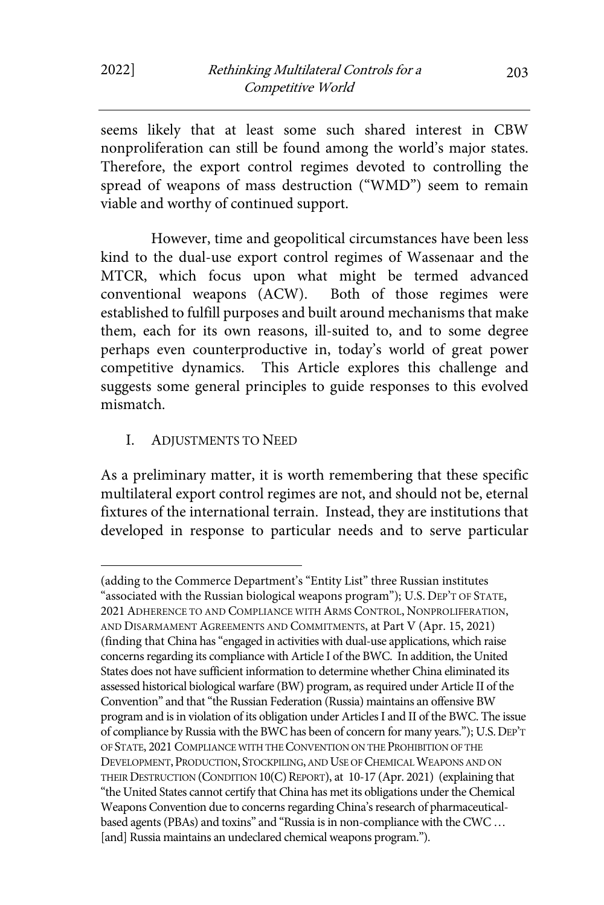seems likely that at least some such shared interest in CBW nonproliferation can still be found among the world's major states. Therefore, the export control regimes devoted to controlling the spread of weapons of mass destruction ("WMD") seem to remain viable and worthy of continued support.

However, time and geopolitical circumstances have been less kind to the dual-use export control regimes of Wassenaar and the MTCR, which focus upon what might be termed advanced conventional weapons (ACW). Both of those regimes were established to fulfill purposes and built around mechanisms that make them, each for its own reasons, ill-suited to, and to some degree perhaps even counterproductive in, today's world of great power competitive dynamics. This Article explores this challenge and suggests some general principles to guide responses to this evolved mismatch.

I. ADJUSTMENTS TO NEED

As a preliminary matter, it is worth remembering that these specific multilateral export control regimes are not, and should not be, eternal fixtures of the international terrain. Instead, they are institutions that developed in response to particular needs and to serve particular

<sup>(</sup>adding to the Commerce Department's "Entity List" three Russian institutes "associated with the Russian biological weapons program"); U.S. DEP'T OF STATE, 2021ADHERENCE TO AND COMPLIANCE WITH ARMS CONTROL, NONPROLIFERATION, AND DISARMAMENT AGREEMENTS AND COMMITMENTS, at Part V (Apr. 15, 2021) (finding that China has "engaged in activities with dual-use applications, which raise concerns regarding its compliance with Article I of the BWC. In addition, the United States does not have sufficient information to determine whether China eliminated its assessed historical biological warfare (BW) program, as required under Article II of the Convention" and that "the Russian Federation (Russia) maintains an offensive BW program and is in violation of its obligation under Articles I and II of the BWC. The issue of compliance by Russia with the BWC has been of concern for many years."); U.S.DEP'T OF STATE, 2021 COMPLIANCE WITH THE CONVENTION ON THE PROHIBITION OF THE DEVELOPMENT, PRODUCTION, STOCKPILING, AND USE OF CHEMICAL WEAPONS AND ON THEIR DESTRUCTION (CONDITION 10(C) REPORT), at 10-17 (Apr. 2021) (explaining that "the United States cannot certify that China has met its obligations under the Chemical Weapons Convention due to concerns regarding China's research of pharmaceuticalbased agents (PBAs) and toxins" and "Russia is in non-compliance with the CWC … [and] Russia maintains an undeclared chemical weapons program.").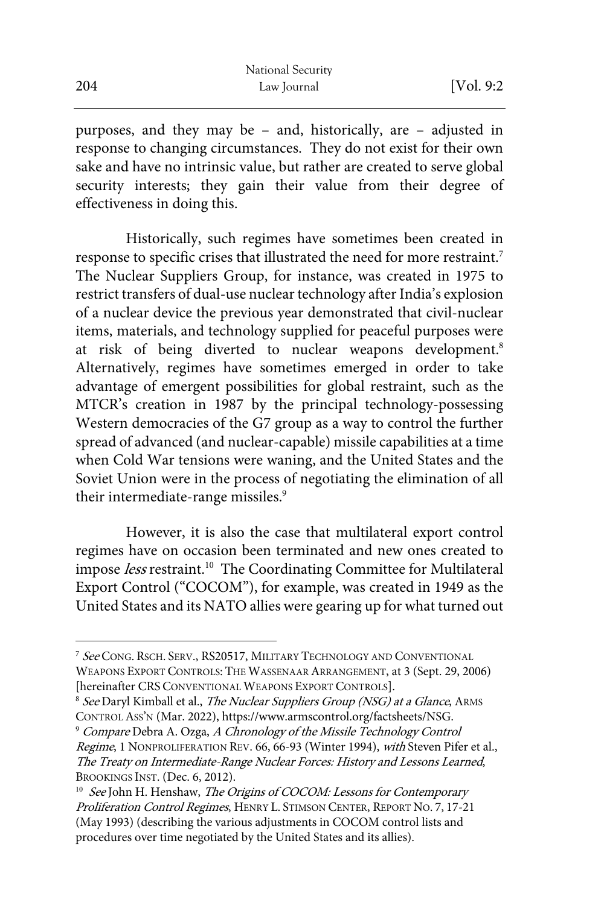purposes, and they may be – and, historically, are – adjusted in response to changing circumstances. They do not exist for their own sake and have no intrinsic value, but rather are created to serve global security interests; they gain their value from their degree of effectiveness in doing this.

Historically, such regimes have sometimes been created in response to specific crises that illustrated the need for more restraint.<sup>7</sup> The Nuclear Suppliers Group, for instance, was created in 1975 to restrict transfers of dual-use nuclear technology after India's explosion of a nuclear device the previous year demonstrated that civil-nuclear items, materials, and technology supplied for peaceful purposes were at risk of being diverted to nuclear weapons development.<sup>8</sup> Alternatively, regimes have sometimes emerged in order to take advantage of emergent possibilities for global restraint, such as the MTCR's creation in 1987 by the principal technology-possessing Western democracies of the G7 group as a way to control the further spread of advanced (and nuclear-capable) missile capabilities at a time when Cold War tensions were waning, and the United States and the Soviet Union were in the process of negotiating the elimination of all their intermediate-range missiles.<sup>9</sup>

However, it is also the case that multilateral export control regimes have on occasion been terminated and new ones created to impose less restraint.<sup>10</sup> The Coordinating Committee for Multilateral Export Control ("COCOM"), for example, was created in 1949 as the United States and its NATO allies were gearing up for what turned out

<sup>&</sup>lt;sup>7</sup> See CONG. RSCH. SERV., RS20517, MILITARY TECHNOLOGY AND CONVENTIONAL WEAPONS EXPORT CONTROLS: THE WASSENAAR ARRANGEMENT, at 3 (Sept. 29, 2006) [hereinafter CRS CONVENTIONAL WEAPONS EXPORT CONTROLS].

<sup>&</sup>lt;sup>8</sup> See Daryl Kimball et al., The Nuclear Suppliers Group (NSG) at a Glance, ARMS CONTROL ASS'N (Mar. 2022), https://www.armscontrol.org/factsheets/NSG.<br><sup>9</sup> Compare Debra A. Ozga, A Chronology of the Missile Technology Control

Regime, 1 NONPROLIFERATION REV. 66, 66-93 (Winter 1994), with Steven Pifer et al., The Treaty on Intermediate-Range Nuclear Forces: History and Lessons Learned, BROOKINGS INST. (Dec. 6, 2012).

<sup>&</sup>lt;sup>10</sup> See John H. Henshaw, The Origins of COCOM: Lessons for Contemporary Proliferation Control Regimes, HENRY L. STIMSON CENTER, REPORT NO. 7, 17-21 (May 1993) (describing the various adjustments in COCOM control lists and procedures over time negotiated by the United States and its allies).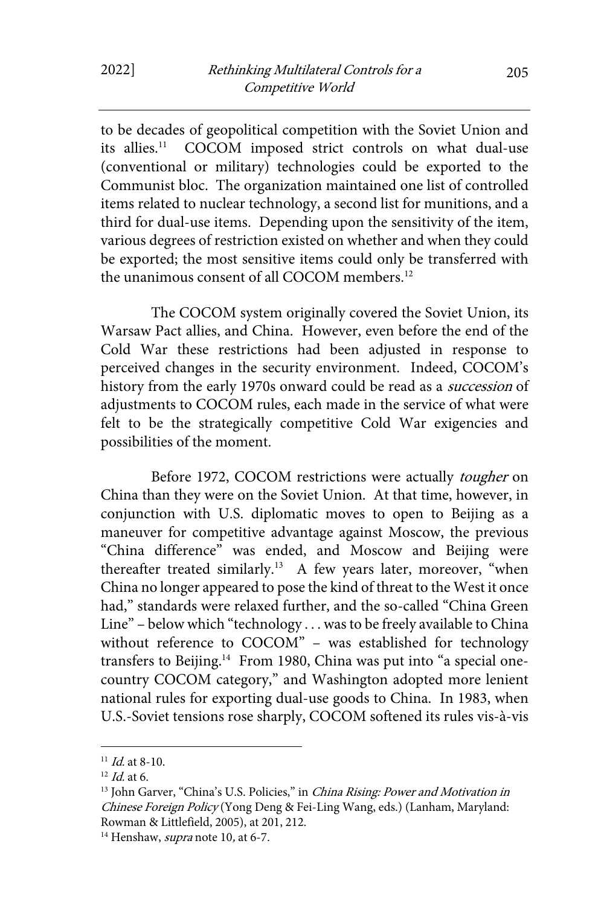to be decades of geopolitical competition with the Soviet Union and<br>its allies.<sup>11</sup> COCOM imposed strict controls on what dual-use COCOM imposed strict controls on what dual-use (conventional or military) technologies could be exported to the Communist bloc. The organization maintained one list of controlled items related to nuclear technology, a second list for munitions, and a third for dual-use items. Depending upon the sensitivity of the item, various degrees of restriction existed on whether and when they could be exported; the most sensitive items could only be transferred with the unanimous consent of all COCOM members.12

The COCOM system originally covered the Soviet Union, its Warsaw Pact allies, and China. However, even before the end of the Cold War these restrictions had been adjusted in response to perceived changes in the security environment. Indeed, COCOM's history from the early 1970s onward could be read as a *succession* of adjustments to COCOM rules, each made in the service of what were felt to be the strategically competitive Cold War exigencies and possibilities of the moment.

Before 1972, COCOM restrictions were actually tougher on China than they were on the Soviet Union. At that time, however, in conjunction with U.S. diplomatic moves to open to Beijing as a maneuver for competitive advantage against Moscow, the previous "China difference" was ended, and Moscow and Beijing were thereafter treated similarly.<sup>13</sup> A few years later, moreover, "when China no longer appeared to pose the kind of threat to the West it once had," standards were relaxed further, and the so-called "China Green Line" – below which "technology . . . was to be freely available to China without reference to COCOM" – was established for technology transfers to Beijing.<sup>14</sup> From 1980, China was put into "a special onecountry COCOM category," and Washington adopted more lenient national rules for exporting dual-use goods to China. In 1983, when U.S.-Soviet tensions rose sharply, COCOM softened its rules vis-à-vis

<sup>&</sup>lt;sup>11</sup> *Id.* at 8-10.<br><sup>12</sup> *Id.* at 6.

<sup>&</sup>lt;sup>13</sup> John Garver, "China's U.S. Policies," in *China Rising: Power and Motivation in* Chinese Foreign Policy (Yong Deng & Fei-Ling Wang, eds.) (Lanham, Maryland: Rowman & Littlefield, 2005), at 201, 212.

<sup>&</sup>lt;sup>14</sup> Henshaw, *supra* note 10, at 6-7.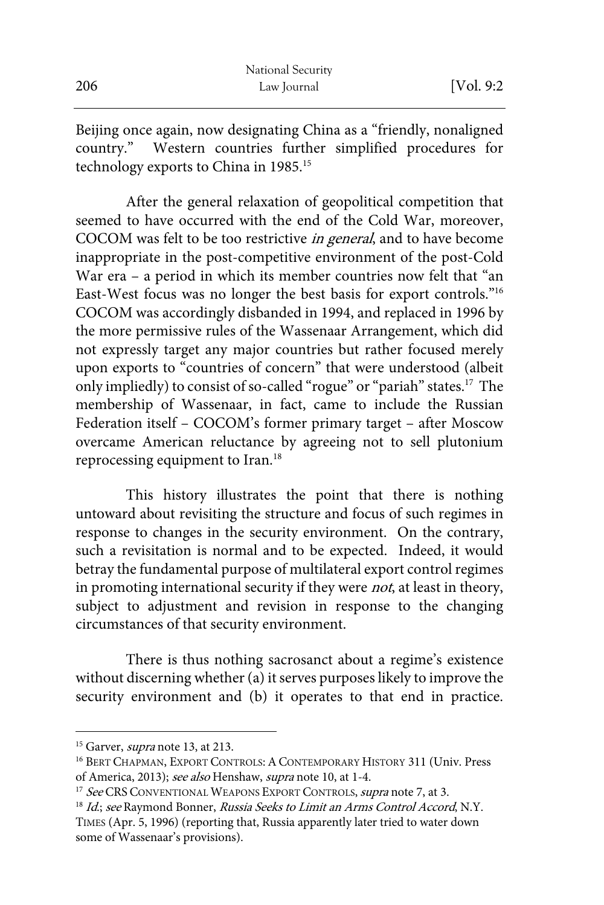|     | National Security |            |
|-----|-------------------|------------|
| 206 | Law Journal       | [Vol. 9:2] |

Beijing once again, now designating China as a "friendly, nonaligned country." Western countries further simplified procedures for technology exports to China in 1985.<sup>15</sup>

After the general relaxation of geopolitical competition that seemed to have occurred with the end of the Cold War, moreover, COCOM was felt to be too restrictive in general, and to have become inappropriate in the post-competitive environment of the post-Cold War era – a period in which its member countries now felt that "an East-West focus was no longer the best basis for export controls."16 COCOM was accordingly disbanded in 1994, and replaced in 1996 by the more permissive rules of the Wassenaar Arrangement, which did not expressly target any major countries but rather focused merely upon exports to "countries of concern" that were understood (albeit only impliedly) to consist of so-called "rogue" or "pariah" states.17 The membership of Wassenaar, in fact, came to include the Russian Federation itself – COCOM's former primary target – after Moscow overcame American reluctance by agreeing not to sell plutonium reprocessing equipment to Iran.18

This history illustrates the point that there is nothing untoward about revisiting the structure and focus of such regimes in response to changes in the security environment. On the contrary, such a revisitation is normal and to be expected. Indeed, it would betray the fundamental purpose of multilateral export control regimes in promoting international security if they were not, at least in theory, subject to adjustment and revision in response to the changing circumstances of that security environment.

There is thus nothing sacrosanct about a regime's existence without discerning whether (a) it serves purposes likely to improve the security environment and (b) it operates to that end in practice.

<sup>&</sup>lt;sup>15</sup> Garver, *supra* note 13, at 213.

<sup>&</sup>lt;sup>16</sup> BERT CHAPMAN, EXPORT CONTROLS: A CONTEMPORARY HISTORY 311 (Univ. Press of America, 2013); see also Henshaw, supra note 10, at 1-4.

<sup>&</sup>lt;sup>17</sup> See CRS CONVENTIONAL WEAPONS EXPORT CONTROLS, *supra* note 7, at 3.<br><sup>18</sup> Id.; see Raymond Bonner, *Russia Seeks to Limit an Arms Control Accord*, N.Y.

TIMES (Apr. 5, 1996) (reporting that, Russia apparently later tried to water down some of Wassenaar's provisions).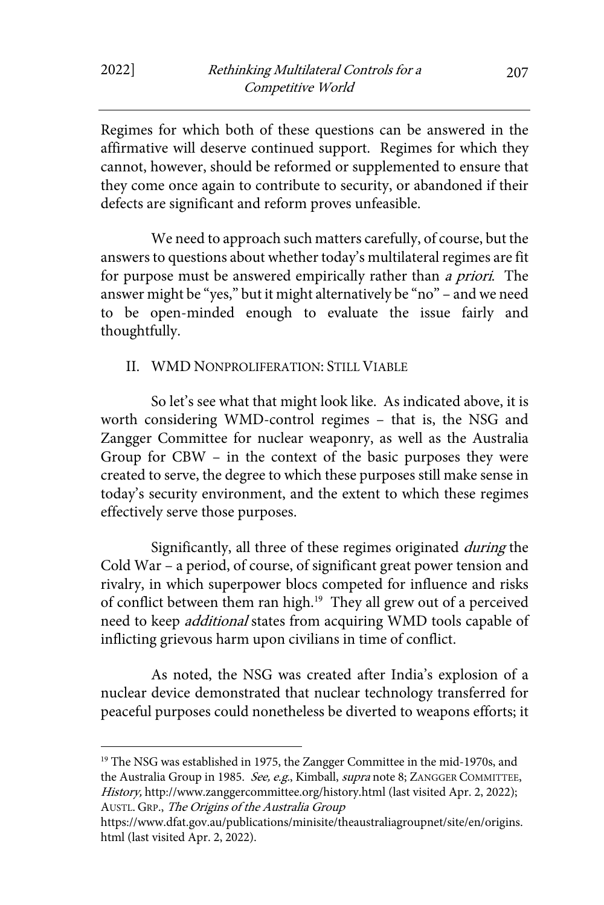Regimes for which both of these questions can be answered in the affirmative will deserve continued support. Regimes for which they cannot, however, should be reformed or supplemented to ensure that they come once again to contribute to security, or abandoned if their defects are significant and reform proves unfeasible.

We need to approach such matters carefully, of course, but the answers to questions about whether today's multilateral regimes are fit for purpose must be answered empirically rather than a priori. The answer might be "yes," but it might alternatively be "no" – and we need to be open-minded enough to evaluate the issue fairly and thoughtfully.

#### II. WMD NONPROLIFERATION: STILL VIABLE

So let's see what that might look like. As indicated above, it is worth considering WMD-control regimes – that is, the NSG and Zangger Committee for nuclear weaponry, as well as the Australia Group for CBW – in the context of the basic purposes they were created to serve, the degree to which these purposes still make sense in today's security environment, and the extent to which these regimes effectively serve those purposes.

Significantly, all three of these regimes originated during the Cold War – a period, of course, of significant great power tension and rivalry, in which superpower blocs competed for influence and risks of conflict between them ran high.<sup>19</sup> They all grew out of a perceived need to keep *additional* states from acquiring WMD tools capable of inflicting grievous harm upon civilians in time of conflict.

As noted, the NSG was created after India's explosion of a nuclear device demonstrated that nuclear technology transferred for peaceful purposes could nonetheless be diverted to weapons efforts; it

<sup>19</sup> The NSG was established in 1975, the Zangger Committee in the mid-1970s, and the Australia Group in 1985. See, e.g., Kimball, supra note 8; ZANGGER COMMITTEE, History, http://www.zanggercommittee.org/history.html (last visited Apr. 2, 2022); AUSTL. GRP., The Origins of the Australia Group

https://www.dfat.gov.au/publications/minisite/theaustraliagroupnet/site/en/origins. html (last visited Apr. 2, 2022).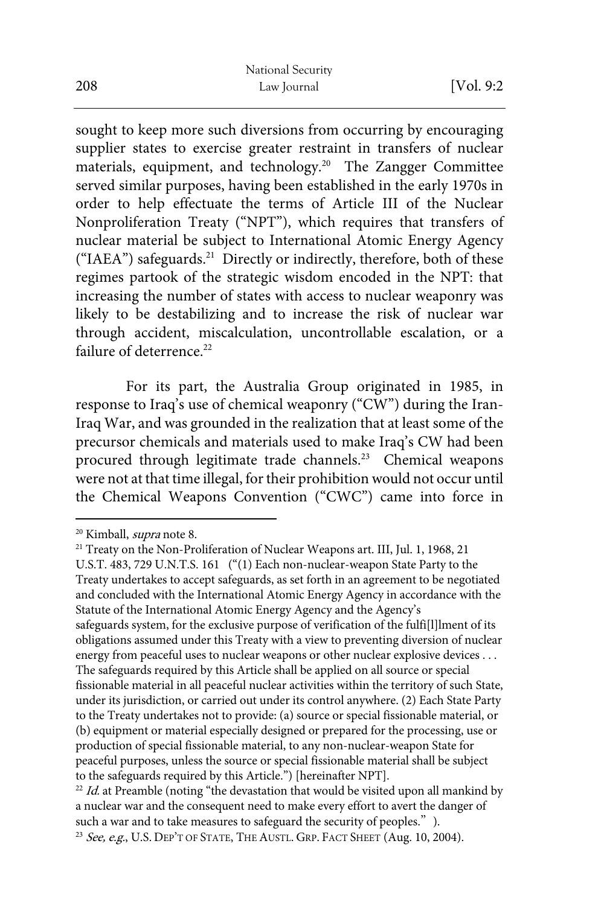sought to keep more such diversions from occurring by encouraging supplier states to exercise greater restraint in transfers of nuclear materials, equipment, and technology.20 The Zangger Committee served similar purposes, having been established in the early 1970s in order to help effectuate the terms of Article III of the Nuclear Nonproliferation Treaty ("NPT"), which requires that transfers of nuclear material be subject to International Atomic Energy Agency ("IAEA") safeguards.<sup>21</sup> Directly or indirectly, therefore, both of these regimes partook of the strategic wisdom encoded in the NPT: that increasing the number of states with access to nuclear weaponry was likely to be destabilizing and to increase the risk of nuclear war through accident, miscalculation, uncontrollable escalation, or a failure of deterrence.<sup>22</sup>

For its part, the Australia Group originated in 1985, in response to Iraq's use of chemical weaponry ("CW") during the Iran-Iraq War, and was grounded in the realization that at least some of the precursor chemicals and materials used to make Iraq's CW had been procured through legitimate trade channels.23 Chemical weapons were not at that time illegal, for their prohibition would not occur until the Chemical Weapons Convention ("CWC") came into force in

<sup>&</sup>lt;sup>20</sup> Kimball, *supra* note 8.<br><sup>21</sup> Treaty on the Non-Proliferation of Nuclear Weapons art. III, Jul. 1, 1968, 21

U.S.T. 483, 729 U.N.T.S. 161 ("(1) Each non-nuclear-weapon State Party to the Treaty undertakes to accept safeguards, as set forth in an agreement to be negotiated and concluded with the International Atomic Energy Agency in accordance with the Statute of the International Atomic Energy Agency and the Agency's safeguards system, for the exclusive purpose of verification of the fulfi[l]lment of its obligations assumed under this Treaty with a view to preventing diversion of nuclear energy from peaceful uses to nuclear weapons or other nuclear explosive devices . . . The safeguards required by this Article shall be applied on all source or special fissionable material in all peaceful nuclear activities within the territory of such State, under its jurisdiction, or carried out under its control anywhere. (2) Each State Party to the Treaty undertakes not to provide: (a) source or special fissionable material, or (b) equipment or material especially designed or prepared for the processing, use or production of special fissionable material, to any non-nuclear-weapon State for peaceful purposes, unless the source or special fissionable material shall be subject to the safeguards required by this Article.") [hereinafter NPT].

 $22$  Id. at Preamble (noting "the devastation that would be visited upon all mankind by a nuclear war and the consequent need to make every effort to avert the danger of such a war and to take measures to safeguard the security of peoples.").

<sup>&</sup>lt;sup>23</sup> See, e.g., U.S. DEP'T OF STATE, THE AUSTL. GRP. FACT SHEET (Aug. 10, 2004).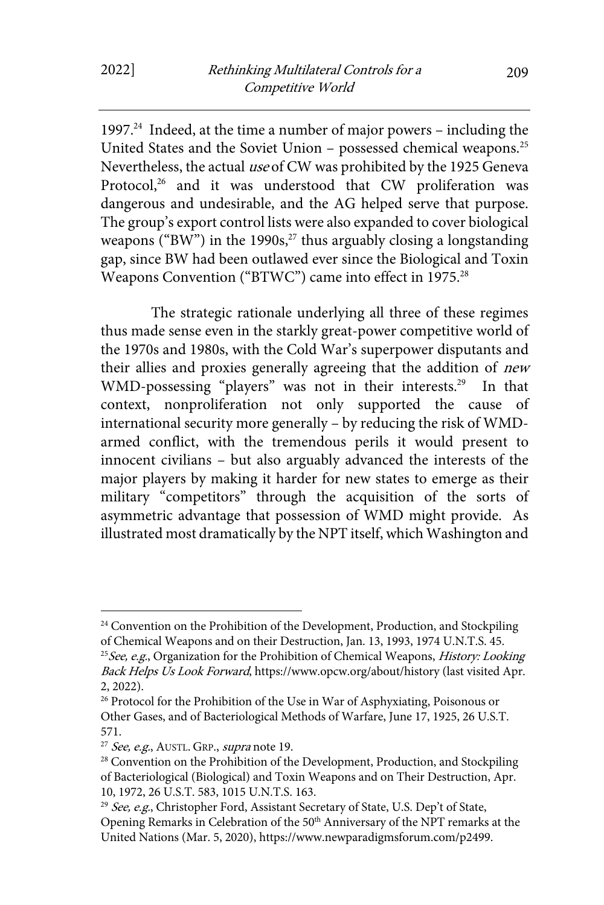1997.24 Indeed, at the time a number of major powers – including the United States and the Soviet Union – possessed chemical weapons.25 Nevertheless, the actual use of CW was prohibited by the 1925 Geneva Protocol,<sup>26</sup> and it was understood that CW proliferation was dangerous and undesirable, and the AG helped serve that purpose. The group's export control lists were also expanded to cover biological weapons ("BW") in the 1990s, $^{27}$  thus arguably closing a longstanding gap, since BW had been outlawed ever since the Biological and Toxin Weapons Convention ("BTWC") came into effect in 1975.<sup>28</sup>

The strategic rationale underlying all three of these regimes thus made sense even in the starkly great-power competitive world of the 1970s and 1980s, with the Cold War's superpower disputants and their allies and proxies generally agreeing that the addition of *new* WMD-possessing "players" was not in their interests.<sup>29</sup> In that context, nonproliferation not only supported the cause of international security more generally – by reducing the risk of WMDarmed conflict, with the tremendous perils it would present to innocent civilians – but also arguably advanced the interests of the major players by making it harder for new states to emerge as their military "competitors" through the acquisition of the sorts of asymmetric advantage that possession of WMD might provide. As illustrated most dramatically by the NPT itself, which Washington and

<sup>&</sup>lt;sup>24</sup> Convention on the Prohibition of the Development, Production, and Stockpiling of Chemical Weapons and on their Destruction, Jan. 13, 1993, 1974 U.N.T.S. 45. <sup>25</sup> See, e.g., Organization for the Prohibition of Chemical Weapons, *History: Looking* Back Helps Us Look Forward, https://www.opcw.org/about/history (last visited Apr.

<sup>2, 2022).&</sup>lt;br><sup>26</sup> Protocol for the Prohibition of the Use in War of Asphyxiating, Poisonous or Other Gases, and of Bacteriological Methods of Warfare, June 17, 1925, 26 U.S.T. 571.

<sup>&</sup>lt;sup>27</sup> See, e.g., AUSTL. GRP., supra note 19.<br><sup>28</sup> Convention on the Prohibition of the Development, Production, and Stockpiling of Bacteriological (Biological) and Toxin Weapons and on Their Destruction, Apr. 10, 1972, 26 U.S.T. 583, 1015 U.N.T.S. 163.

<sup>&</sup>lt;sup>29</sup> See, e.g., Christopher Ford, Assistant Secretary of State, U.S. Dep't of State, Opening Remarks in Celebration of the 50<sup>th</sup> Anniversary of the NPT remarks at the United Nations (Mar. 5, 2020), https://www.newparadigmsforum.com/p2499.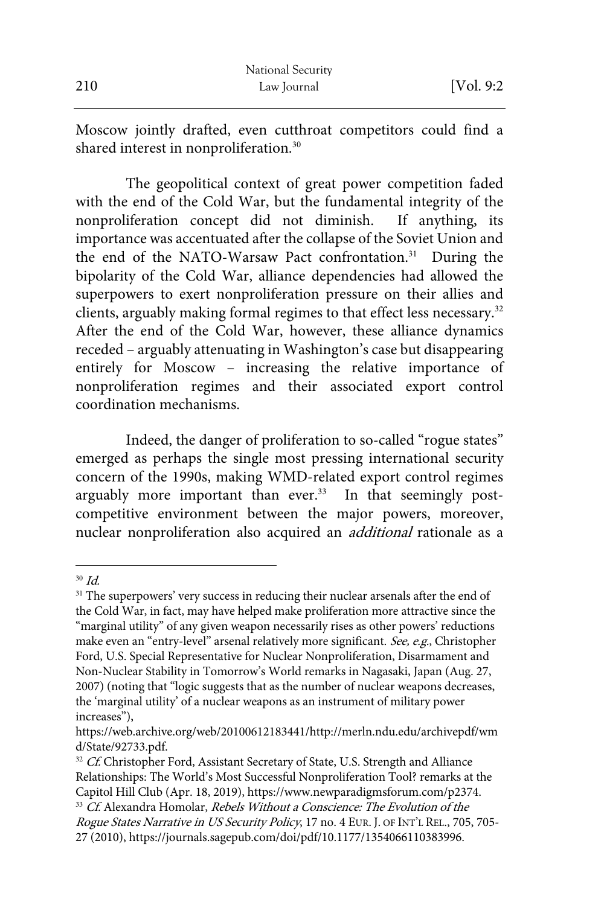Moscow jointly drafted, even cutthroat competitors could find a shared interest in nonproliferation.<sup>30</sup>

The geopolitical context of great power competition faded with the end of the Cold War, but the fundamental integrity of the nonproliferation concept did not diminish. If anything, its importance was accentuated after the collapse of the Soviet Union and the end of the NATO-Warsaw Pact confrontation.<sup>31</sup> During the bipolarity of the Cold War, alliance dependencies had allowed the superpowers to exert nonproliferation pressure on their allies and clients, arguably making formal regimes to that effect less necessary.<sup>32</sup> After the end of the Cold War, however, these alliance dynamics receded – arguably attenuating in Washington's case but disappearing entirely for Moscow – increasing the relative importance of nonproliferation regimes and their associated export control coordination mechanisms.

Indeed, the danger of proliferation to so-called "rogue states" emerged as perhaps the single most pressing international security concern of the 1990s, making WMD-related export control regimes arguably more important than ever.<sup>33</sup> In that seemingly postcompetitive environment between the major powers, moreover, nuclear nonproliferation also acquired an additional rationale as a

 $30$  Id.

<sup>&</sup>lt;sup>31</sup> The superpowers' very success in reducing their nuclear arsenals after the end of the Cold War, in fact, may have helped make proliferation more attractive since the "marginal utility" of any given weapon necessarily rises as other powers' reductions make even an "entry-level" arsenal relatively more significant. See, e.g., Christopher Ford, U.S. Special Representative for Nuclear Nonproliferation, Disarmament and Non-Nuclear Stability in Tomorrow's World remarks in Nagasaki, Japan (Aug. 27, 2007) (noting that "logic suggests that as the number of nuclear weapons decreases, the 'marginal utility' of a nuclear weapons as an instrument of military power increases"),

https://web.archive.org/web/20100612183441/http://merln.ndu.edu/archivepdf/wm d/State/92733.pdf.<br><sup>32</sup> Cf. Christopher Ford, Assistant Secretary of State, U.S. Strength and Alliance

Relationships: The World's Most Successful Nonproliferation Tool? remarks at the Capitol Hill Club (Apr. 18, 2019), https://www.newparadigmsforum.com/p2374.<br><sup>33</sup> Cf. Alexandra Homolar, *Rebels Without a Conscience: The Evolution of the* 

Rogue States Narrative in US Security Policy, 17 no. 4 EUR. J. OF INT'L REL., 705, 705-27 (2010), https://journals.sagepub.com/doi/pdf/10.1177/1354066110383996.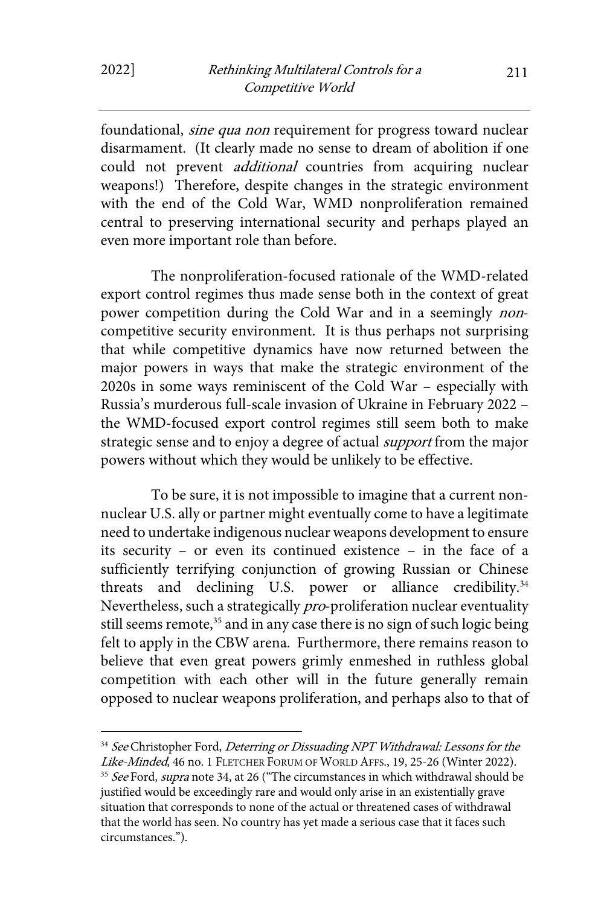foundational, sine qua non requirement for progress toward nuclear disarmament. (It clearly made no sense to dream of abolition if one could not prevent *additional* countries from acquiring nuclear weapons!) Therefore, despite changes in the strategic environment with the end of the Cold War, WMD nonproliferation remained central to preserving international security and perhaps played an even more important role than before.

The nonproliferation-focused rationale of the WMD-related export control regimes thus made sense both in the context of great power competition during the Cold War and in a seemingly noncompetitive security environment. It is thus perhaps not surprising that while competitive dynamics have now returned between the major powers in ways that make the strategic environment of the 2020s in some ways reminiscent of the Cold War – especially with Russia's murderous full-scale invasion of Ukraine in February 2022 – the WMD-focused export control regimes still seem both to make strategic sense and to enjoy a degree of actual *support* from the major powers without which they would be unlikely to be effective.

To be sure, it is not impossible to imagine that a current nonnuclear U.S. ally or partner might eventually come to have a legitimate need to undertake indigenous nuclear weapons development to ensure its security – or even its continued existence – in the face of a sufficiently terrifying conjunction of growing Russian or Chinese threats and declining U.S. power or alliance credibility.<sup>34</sup> Nevertheless, such a strategically pro-proliferation nuclear eventuality still seems remote,<sup>35</sup> and in any case there is no sign of such logic being felt to apply in the CBW arena. Furthermore, there remains reason to believe that even great powers grimly enmeshed in ruthless global competition with each other will in the future generally remain opposed to nuclear weapons proliferation, and perhaps also to that of

<sup>&</sup>lt;sup>34</sup> See Christopher Ford, Deterring or Dissuading NPT Withdrawal: Lessons for the Like-Minded, 46 no. 1 FLETCHER FORUM OF WORLD AFFS., 19, 25-26 (Winter 2022).

<sup>&</sup>lt;sup>35</sup> See Ford, supra note 34, at 26 ("The circumstances in which withdrawal should be justified would be exceedingly rare and would only arise in an existentially grave situation that corresponds to none of the actual or threatened cases of withdrawal that the world has seen. No country has yet made a serious case that it faces such circumstances.").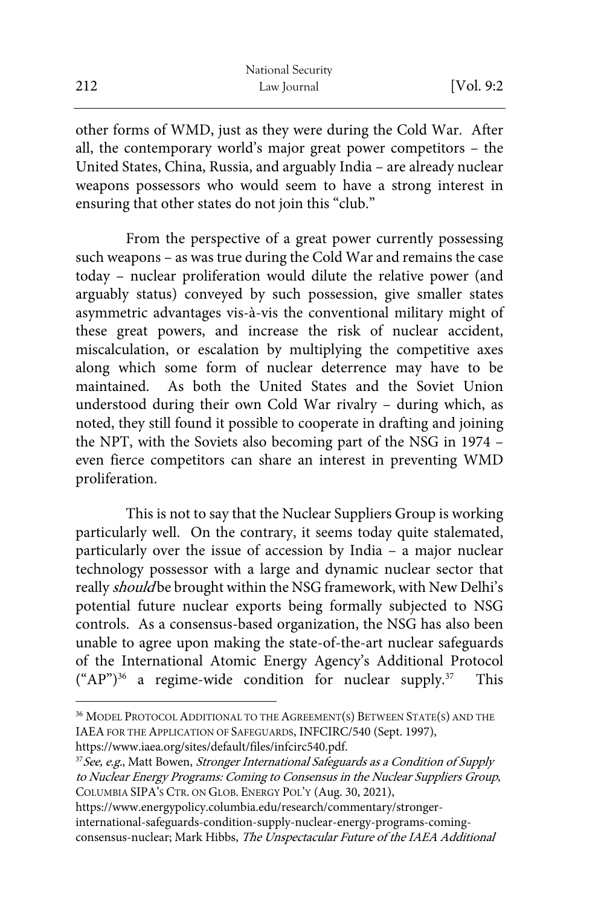other forms of WMD, just as they were during the Cold War. After all, the contemporary world's major great power competitors – the United States, China, Russia, and arguably India – are already nuclear weapons possessors who would seem to have a strong interest in ensuring that other states do not join this "club."

From the perspective of a great power currently possessing such weapons – as was true during the Cold War and remains the case today – nuclear proliferation would dilute the relative power (and arguably status) conveyed by such possession, give smaller states asymmetric advantages vis-à-vis the conventional military might of these great powers, and increase the risk of nuclear accident, miscalculation, or escalation by multiplying the competitive axes along which some form of nuclear deterrence may have to be maintained. As both the United States and the Soviet Union understood during their own Cold War rivalry – during which, as noted, they still found it possible to cooperate in drafting and joining the NPT, with the Soviets also becoming part of the NSG in 1974 – even fierce competitors can share an interest in preventing WMD proliferation.

This is not to say that the Nuclear Suppliers Group is working particularly well. On the contrary, it seems today quite stalemated, particularly over the issue of accession by India – a major nuclear technology possessor with a large and dynamic nuclear sector that really should be brought within the NSG framework, with New Delhi's potential future nuclear exports being formally subjected to NSG controls. As a consensus-based organization, the NSG has also been unable to agree upon making the state-of-the-art nuclear safeguards of the International Atomic Energy Agency's Additional Protocol ("AP") <sup>36</sup> a regime-wide condition for nuclear supply. 37 This

<sup>36</sup> MODEL PROTOCOL ADDITIONAL TO THE AGREEMENT(S) BETWEEN STATE(S) AND THE IAEA FOR THE APPLICATION OF SAFEGUARDS, INFCIRC/540 (Sept. 1997),

https://www.iaea.org/sites/default/files/infcirc540.pdf.<br><sup>37</sup>*See, e.g.*, Matt Bowen, *Stronger International Safeguards as a Condition of Supply* to Nuclear Energy Programs: Coming to Consensus in the Nuclear Suppliers Group, COLUMBIA SIPA'S CTR. ON GLOB. ENERGY POL'Y (Aug. 30, 2021),

https://www.energypolicy.columbia.edu/research/commentary/stronger-

international-safeguards-condition-supply-nuclear-energy-programs-comingconsensus-nuclear; Mark Hibbs, The Unspectacular Future of the IAEA Additional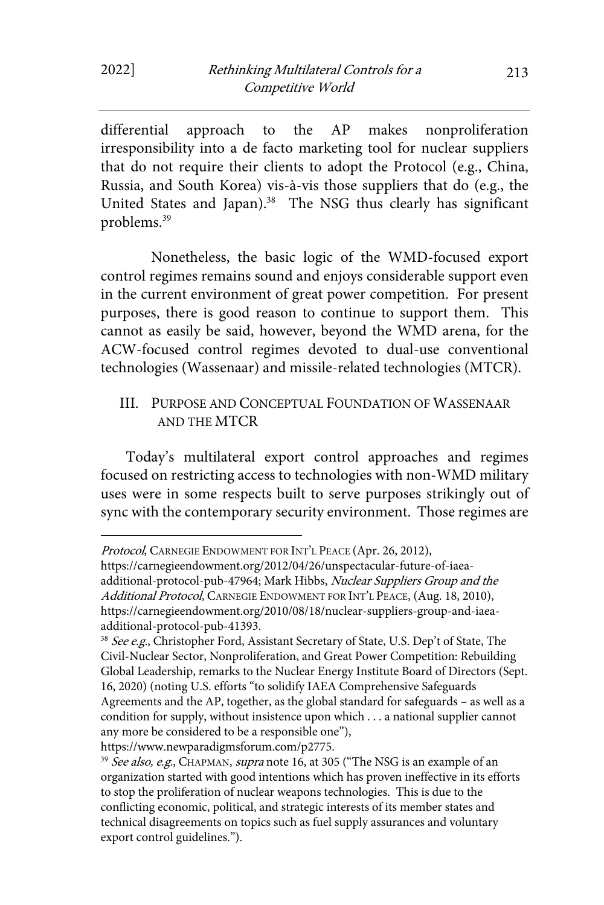differential approach to the AP makes nonproliferation irresponsibility into a de facto marketing tool for nuclear suppliers that do not require their clients to adopt the Protocol (e.g., China, Russia, and South Korea) vis-à-vis those suppliers that do (e.g., the United States and Japan).<sup>38</sup> The NSG thus clearly has significant problems.39

Nonetheless, the basic logic of the WMD-focused export control regimes remains sound and enjoys considerable support even in the current environment of great power competition. For present purposes, there is good reason to continue to support them. This cannot as easily be said, however, beyond the WMD arena, for the ACW-focused control regimes devoted to dual-use conventional technologies (Wassenaar) and missile-related technologies (MTCR).

#### III. PURPOSE AND CONCEPTUAL FOUNDATION OF WASSENAAR AND THE MTCR

Today's multilateral export control approaches and regimes focused on restricting access to technologies with non-WMD military uses were in some respects built to serve purposes strikingly out of sync with the contemporary security environment. Those regimes are

Protocol, CARNEGIE ENDOWMENT FOR INT'L PEACE (Apr. 26, 2012),

https://carnegieendowment.org/2012/04/26/unspectacular-future-of-iaeaadditional-protocol-pub-47964; Mark Hibbs, Nuclear Suppliers Group and the Additional Protocol, CARNEGIE ENDOWMENT FOR INT'L PEACE, (Aug. 18, 2010), https://carnegieendowment.org/2010/08/18/nuclear-suppliers-group-and-iaeaadditional-protocol-pub-41393.<br><sup>38</sup> See e.g., Christopher Ford, Assistant Secretary of State, U.S. Dep't of State, The

Civil-Nuclear Sector, Nonproliferation, and Great Power Competition: Rebuilding Global Leadership, remarks to the Nuclear Energy Institute Board of Directors (Sept. 16, 2020) (noting U.S. efforts "to solidify IAEA Comprehensive Safeguards Agreements and the AP, together, as the global standard for safeguards – as well as a condition for supply, without insistence upon which . . . a national supplier cannot any more be considered to be a responsible one"),

https://www.newparadigmsforum.com/p2775.<br><sup>39</sup> See also, e.g., CHAPMAN, supra note 16, at 305 ("The NSG is an example of an organization started with good intentions which has proven ineffective in its efforts to stop the proliferation of nuclear weapons technologies. This is due to the conflicting economic, political, and strategic interests of its member states and technical disagreements on topics such as fuel supply assurances and voluntary export control guidelines.").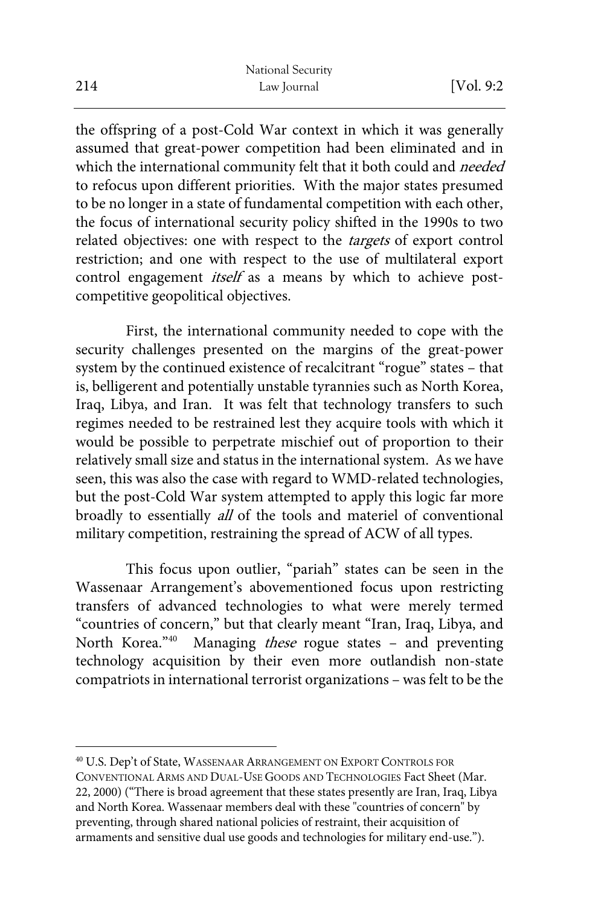the offspring of a post-Cold War context in which it was generally assumed that great-power competition had been eliminated and in which the international community felt that it both could and needed to refocus upon different priorities. With the major states presumed to be no longer in a state of fundamental competition with each other, the focus of international security policy shifted in the 1990s to two related objectives: one with respect to the targets of export control restriction; and one with respect to the use of multilateral export control engagement *itself* as a means by which to achieve postcompetitive geopolitical objectives.

First, the international community needed to cope with the security challenges presented on the margins of the great-power system by the continued existence of recalcitrant "rogue" states – that is, belligerent and potentially unstable tyrannies such as North Korea, Iraq, Libya, and Iran. It was felt that technology transfers to such regimes needed to be restrained lest they acquire tools with which it would be possible to perpetrate mischief out of proportion to their relatively small size and status in the international system. As we have seen, this was also the case with regard to WMD-related technologies, but the post-Cold War system attempted to apply this logic far more broadly to essentially all of the tools and materiel of conventional military competition, restraining the spread of ACW of all types.

This focus upon outlier, "pariah" states can be seen in the Wassenaar Arrangement's abovementioned focus upon restricting transfers of advanced technologies to what were merely termed "countries of concern," but that clearly meant "Iran, Iraq, Libya, and North Korea."<sup>40</sup> Managing *these* rogue states - and preventing technology acquisition by their even more outlandish non-state compatriots in international terrorist organizations – was felt to be the

<sup>40</sup> U.S. Dep't of State, WASSENAAR ARRANGEMENT ON EXPORT CONTROLS FOR CONVENTIONAL ARMS AND DUAL-USE GOODS AND TECHNOLOGIES Fact Sheet (Mar. 22, 2000) ("There is broad agreement that these states presently are Iran, Iraq, Libya and North Korea. Wassenaar members deal with these "countries of concern" by preventing, through shared national policies of restraint, their acquisition of armaments and sensitive dual use goods and technologies for military end-use.").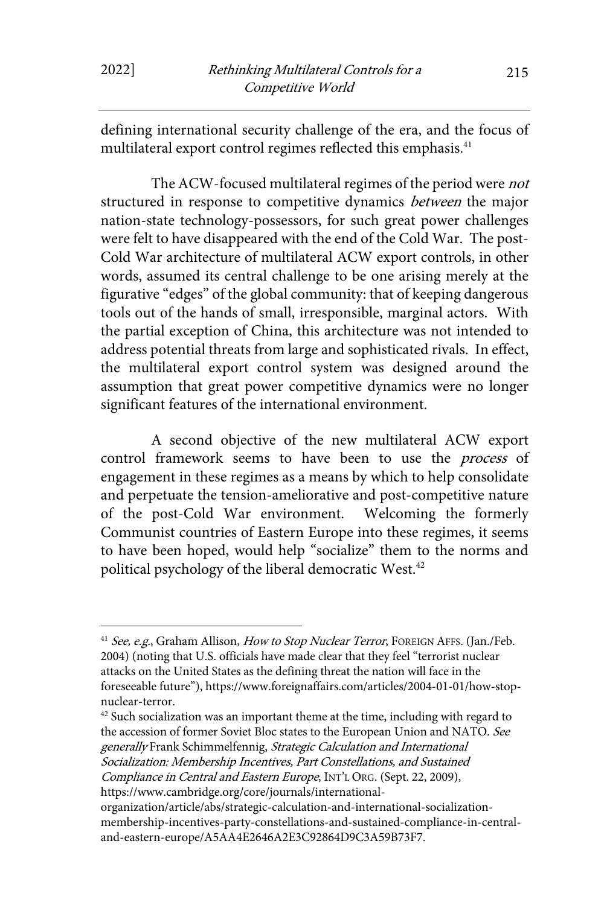defining international security challenge of the era, and the focus of multilateral export control regimes reflected this emphasis.<sup>41</sup>

The ACW-focused multilateral regimes of the period were not structured in response to competitive dynamics *between* the major nation-state technology-possessors, for such great power challenges were felt to have disappeared with the end of the Cold War. The post-Cold War architecture of multilateral ACW export controls, in other words, assumed its central challenge to be one arising merely at the figurative "edges" of the global community: that of keeping dangerous tools out of the hands of small, irresponsible, marginal actors. With the partial exception of China, this architecture was not intended to address potential threats from large and sophisticated rivals. In effect, the multilateral export control system was designed around the assumption that great power competitive dynamics were no longer significant features of the international environment.

A second objective of the new multilateral ACW export control framework seems to have been to use the *process* of engagement in these regimes as a means by which to help consolidate and perpetuate the tension-ameliorative and post-competitive nature of the post-Cold War environment. Welcoming the formerly Communist countries of Eastern Europe into these regimes, it seems to have been hoped, would help "socialize" them to the norms and political psychology of the liberal democratic West.<sup>42</sup>

https://www.cambridge.org/core/journals/international-

<sup>&</sup>lt;sup>41</sup> See, e.g., Graham Allison, How to Stop Nuclear Terror, FOREIGN AFFS. (Jan./Feb. 2004) (noting that U.S. officials have made clear that they feel "terrorist nuclear attacks on the United States as the defining threat the nation will face in the foreseeable future"), https://www.foreignaffairs.com/articles/2004-01-01/how-stopnuclear-terror.<br> $42$  Such socialization was an important theme at the time, including with regard to

the accession of former Soviet Bloc states to the European Union and NATO. See generally Frank Schimmelfennig, Strategic Calculation and International Socialization: Membership Incentives, Part Constellations, and Sustained Compliance in Central and Eastern Europe, INT'L ORG. (Sept. 22, 2009),

organization/article/abs/strategic-calculation-and-international-socializationmembership-incentives-party-constellations-and-sustained-compliance-in-centraland-eastern-europe/A5AA4E2646A2E3C92864D9C3A59B73F7.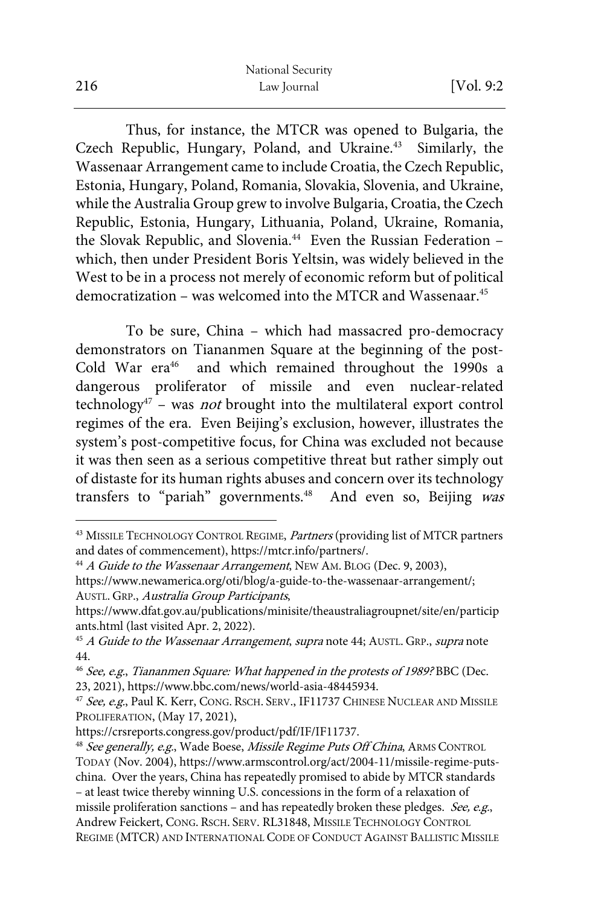Thus, for instance, the MTCR was opened to Bulgaria, the Czech Republic, Hungary, Poland, and Ukraine.<sup>43</sup> Similarly, the Wassenaar Arrangement came to include Croatia, the Czech Republic, Estonia, Hungary, Poland, Romania, Slovakia, Slovenia, and Ukraine, while the Australia Group grew to involve Bulgaria, Croatia, the Czech Republic, Estonia, Hungary, Lithuania, Poland, Ukraine, Romania, the Slovak Republic, and Slovenia.<sup>44</sup> Even the Russian Federation which, then under President Boris Yeltsin, was widely believed in the West to be in a process not merely of economic reform but of political democratization – was welcomed into the MTCR and Wassenaar.<sup>45</sup>

To be sure, China – which had massacred pro-democracy demonstrators on Tiananmen Square at the beginning of the post-Cold War era<sup>46</sup> and which remained throughout the 1990s a dangerous proliferator of missile and even nuclear-related technology<sup>47</sup> – was *not* brought into the multilateral export control regimes of the era. Even Beijing's exclusion, however, illustrates the system's post-competitive focus, for China was excluded not because it was then seen as a serious competitive threat but rather simply out of distaste for its human rights abuses and concern over its technology transfers to "pariah" governments.<sup>48</sup> And even so, Beijing was

AUSTL. GRP., Australia Group Participants, https://www.dfat.gov.au/publications/minisite/theaustraliagroupnet/site/en/particip

<sup>43</sup> MISSILE TECHNOLOGY CONTROL REGIME, Partners (providing list of MTCR partners and dates of commencement), https://mtcr.info/partners/.<br><sup>44</sup> A Guide to the Wassenaar Arrangement, NEW AM. BLOG (Dec. 9, 2003),

https://www.newamerica.org/oti/blog/a-guide-to-the-wassenaar-arrangement/;

ants.html (last visited Apr. 2, 2022).<br><sup>45</sup> A Guide to the Wassenaar Arrangement, supra note 44; AUSTL. GRP., supra note 44.

 $46$  See, e.g., Tiananmen Square: What happened in the protests of 1989? BBC (Dec. 23, 2021), https://www.bbc.com/news/world-asia-48445934.

<sup>&</sup>lt;sup>47</sup> See, e.g., Paul K. Kerr, CONG. RSCH. SERV., IF11737 CHINESE NUCLEAR AND MISSILE PROLIFERATION, (May 17, 2021),<br>https://crsreports.congress.gov/product/pdf/IF/IF11737.

<sup>&</sup>lt;sup>48</sup> See generally, e.g., Wade Boese, Missile Regime Puts Off China, ARMS CONTROL TODAY (Nov. 2004), https://www.armscontrol.org/act/2004-11/missile-regime-putschina. Over the years, China has repeatedly promised to abide by MTCR standards – at least twice thereby winning U.S. concessions in the form of a relaxation of missile proliferation sanctions – and has repeatedly broken these pledges. See, e.g., Andrew Feickert, CONG. RSCH. SERV. RL31848, MISSILE TECHNOLOGY CONTROL REGIME (MTCR) AND INTERNATIONAL CODE OF CONDUCT AGAINST BALLISTIC MISSILE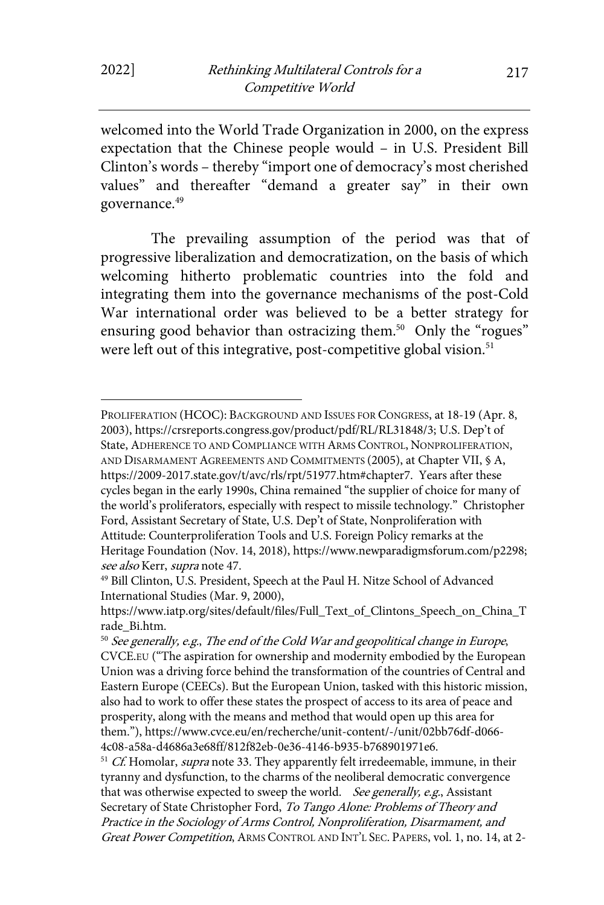welcomed into the World Trade Organization in 2000, on the express expectation that the Chinese people would – in U.S. President Bill Clinton's words – thereby "import one of democracy's most cherished values" and thereafter "demand a greater say" in their own governance.<sup>49</sup>

The prevailing assumption of the period was that of progressive liberalization and democratization, on the basis of which welcoming hitherto problematic countries into the fold and integrating them into the governance mechanisms of the post-Cold War international order was believed to be a better strategy for ensuring good behavior than ostracizing them.<sup>50</sup> Only the "rogues" were left out of this integrative, post-competitive global vision.<sup>51</sup>

PROLIFERATION (HCOC): BACKGROUND AND ISSUES FOR CONGRESS, at 18-19 (Apr. 8, 2003), https://crsreports.congress.gov/product/pdf/RL/RL31848/3; U.S. Dep't of State, ADHERENCE TO AND COMPLIANCE WITH ARMS CONTROL, NONPROLIFERATION, AND DISARMAMENT AGREEMENTS AND COMMITMENTS (2005), at Chapter VII, § A, https://2009-2017.state.gov/t/avc/rls/rpt/51977.htm#chapter7. Years after these cycles began in the early 1990s, China remained "the supplier of choice for many of the world's proliferators, especially with respect to missile technology." Christopher Ford, Assistant Secretary of State, U.S. Dep't of State, Nonproliferation with Attitude: Counterproliferation Tools and U.S. Foreign Policy remarks at the Heritage Foundation (Nov. 14, 2018), https://www.newparadigmsforum.com/p2298; see also Kerr, supra note 47.<br><sup>49</sup> Bill Clinton, U.S. President, Speech at the Paul H. Nitze School of Advanced

International Studies (Mar. 9, 2000),

https://www.iatp.org/sites/default/files/Full\_Text\_of\_Clintons\_Speech\_on\_China\_T rade\_Bi.htm.<br><sup>50</sup> See generally, e.g., The end of the Cold War and geopolitical change in Europe,

CVCE.EU ("The aspiration for ownership and modernity embodied by the European Union was a driving force behind the transformation of the countries of Central and Eastern Europe (CEECs). But the European Union, tasked with this historic mission, also had to work to offer these states the prospect of access to its area of peace and prosperity, along with the means and method that would open up this area for them."), https://www.cvce.eu/en/recherche/unit-content/-/unit/02bb76df-d066- 4c08-a58a-d4686a3e68ff/812f82eb-0e36-4146-b935-b768901971e6.

 $51$  Cf. Homolar, *supra* note 33. They apparently felt irredeemable, immune, in their tyranny and dysfunction, to the charms of the neoliberal democratic convergence that was otherwise expected to sweep the world. See generally, e.g., Assistant Secretary of State Christopher Ford, To Tango Alone: Problems of Theory and Practice in the Sociology of Arms Control, Nonproliferation, Disarmament, and Great Power Competition, ARMS CONTROL AND INT'L SEC. PAPERS, vol. 1, no. 14, at 2-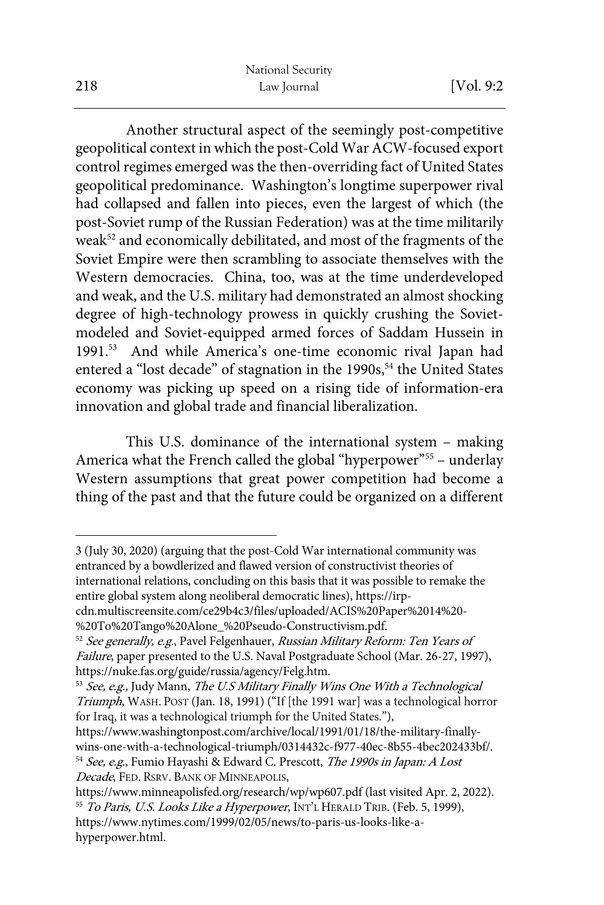Another structural aspect of the seemingly post-competitive geopolitical context in which the post-Cold War ACW-focused export control regimes emerged was the then-overriding fact of United States geopolitical predominance. Washington's longtime superpower rival had collapsed and fallen into pieces, even the largest of which (the post-Soviet rump of the Russian Federation) was at the time militarily weak<sup>52</sup> and economically debilitated, and most of the fragments of the Soviet Empire were then scrambling to associate themselves with the Western democracies. China, too, was at the time underdeveloped and weak, and the U.S. military had demonstrated an almost shocking degree of high-technology prowess in quickly crushing the Sovietmodeled and Soviet-equipped armed forces of Saddam Hussein in 1991.53 And while America's one-time economic rival Japan had entered a "lost decade" of stagnation in the 1990s,<sup>54</sup> the United States economy was picking up speed on a rising tide of information-era innovation and global trade and financial liberalization.

This U.S. dominance of the international system – making America what the French called the global "hyperpower"<sup>55</sup> - underlay Western assumptions that great power competition had become a thing of the past and that the future could be organized on a different

3 (July 30, 2020) (arguing that the post-Cold War international community was entranced by a bowdlerized and flawed version of constructivist theories of international relations, concluding on this basis that it was possible to remake the entire global system along neoliberal democratic lines), https://irp-

Decade, FED. RSRV. BANK OF MINNEAPOLIS,

cdn.multiscreensite.com/ce29b4c3/files/uploaded/ACIS%20Paper%2014%20- %20To%20Tango%20Alone\_%20Pseudo-Constructivism.pdf.

<sup>&</sup>lt;sup>52</sup> See generally, e.g., Pavel Felgenhauer, Russian Military Reform: Ten Years of Failure, paper presented to the U.S. Naval Postgraduate School (Mar. 26-27, 1997), https://nuke.fas.org/guide/russia/agency/Felg.htm.<br><sup>53</sup> See, e.g., Judy Mann, *The U.S Military Finally Wins One With a Technological* 

Triumph, WASH. POST (Jan. 18, 1991) ("If [the 1991 war] was a technological horror for Iraq, it was a technological triumph for the United States."),

https://www.washingtonpost.com/archive/local/1991/01/18/the-military-finallywins-one-with-a-technological-triumph/0314432c-f977-40ec-8b55-4bec202433bf/. 54 See, e.g., Fumio Hayashi & Edward C. Prescott, The 1990s in Japan: A Lost

https://www.minneapolisfed.org/research/wp/wp607.pdf (last visited Apr. 2, 2022). <sup>55</sup> To Paris, U.S. Looks Like a Hyperpower, INT'L HERALD TRIB. (Feb. 5, 1999), https://www.nytimes.com/1999/02/05/news/to-paris-us-looks-like-ahyperpower.html.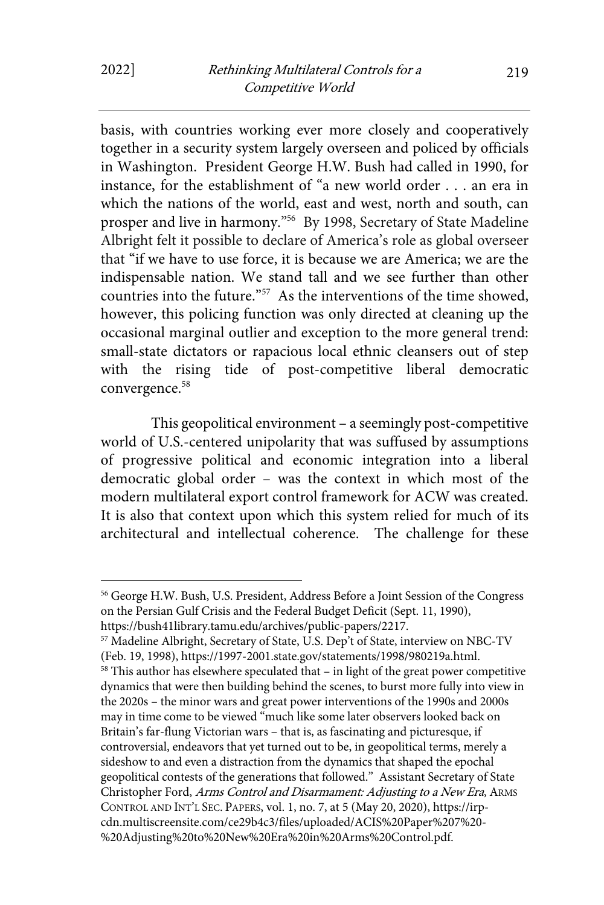basis, with countries working ever more closely and cooperatively together in a security system largely overseen and policed by officials in Washington. President George H.W. Bush had called in 1990, for instance, for the establishment of "a new world order . . . an era in which the nations of the world, east and west, north and south, can prosper and live in harmony."56 By 1998, Secretary of State Madeline Albright felt it possible to declare of America's role as global overseer that "if we have to use force, it is because we are America; we are the indispensable nation. We stand tall and we see further than other countries into the future."57 As the interventions of the time showed, however, this policing function was only directed at cleaning up the occasional marginal outlier and exception to the more general trend: small-state dictators or rapacious local ethnic cleansers out of step with the rising tide of post-competitive liberal democratic convergence.<sup>58</sup>

This geopolitical environment – a seemingly post-competitive world of U.S.-centered unipolarity that was suffused by assumptions of progressive political and economic integration into a liberal democratic global order – was the context in which most of the modern multilateral export control framework for ACW was created. It is also that context upon which this system relied for much of its architectural and intellectual coherence. The challenge for these

<sup>56</sup> George H.W. Bush, U.S. President, Address Before a Joint Session of the Congress on the Persian Gulf Crisis and the Federal Budget Deficit (Sept. 11, 1990), https://bush41library.tamu.edu/archives/public-papers/2217.

<sup>57</sup> Madeline Albright, Secretary of State, U.S. Dep't of State, interview on NBC-TV (Feb. 19, 1998), https://1997-2001.state.gov/statements/1998/980219a.html.  $58$  This author has elsewhere speculated that – in light of the great power competitive dynamics that were then building behind the scenes, to burst more fully into view in the 2020s – the minor wars and great power interventions of the 1990s and 2000s may in time come to be viewed "much like some later observers looked back on Britain's far-flung Victorian wars – that is, as fascinating and picturesque, if controversial, endeavors that yet turned out to be, in geopolitical terms, merely a sideshow to and even a distraction from the dynamics that shaped the epochal geopolitical contests of the generations that followed." Assistant Secretary of State Christopher Ford, Arms Control and Disarmament: Adjusting to a New Era, ARMS CONTROL AND INT'L SEC. PAPERS, vol. 1, no. 7, at 5 (May 20, 2020), https://irpcdn.multiscreensite.com/ce29b4c3/files/uploaded/ACIS%20Paper%207%20- %20Adjusting%20to%20New%20Era%20in%20Arms%20Control.pdf.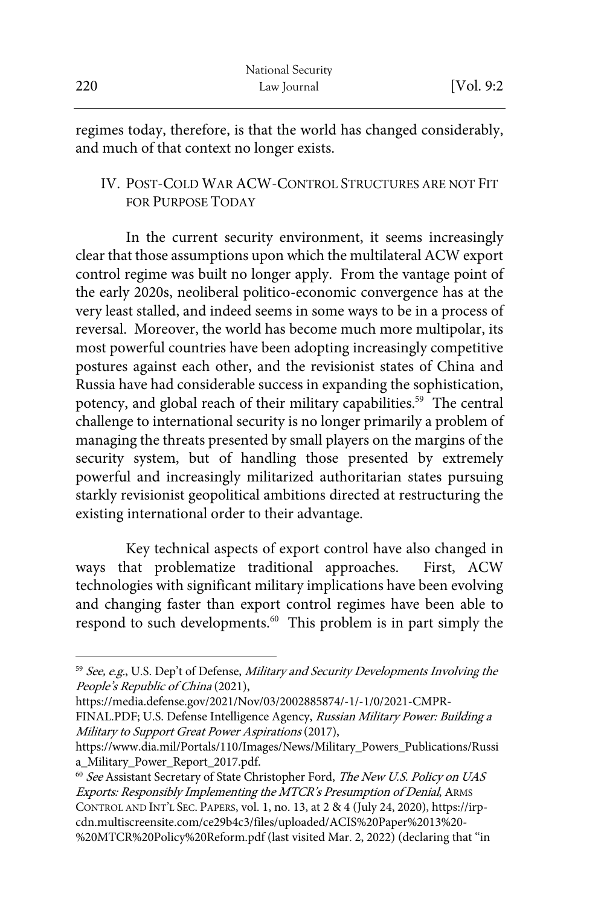regimes today, therefore, is that the world has changed considerably, and much of that context no longer exists.

### IV. POST-COLD WAR ACW-CONTROL STRUCTURES ARE NOT FIT FOR PURPOSE TODAY

In the current security environment, it seems increasingly clear that those assumptions upon which the multilateral ACW export control regime was built no longer apply. From the vantage point of the early 2020s, neoliberal politico-economic convergence has at the very least stalled, and indeed seems in some ways to be in a process of reversal. Moreover, the world has become much more multipolar, its most powerful countries have been adopting increasingly competitive postures against each other, and the revisionist states of China and Russia have had considerable success in expanding the sophistication, potency, and global reach of their military capabilities.<sup>59</sup> The central challenge to international security is no longer primarily a problem of managing the threats presented by small players on the margins of the security system, but of handling those presented by extremely powerful and increasingly militarized authoritarian states pursuing starkly revisionist geopolitical ambitions directed at restructuring the existing international order to their advantage.

Key technical aspects of export control have also changed in ways that problematize traditional approaches. First, ACW technologies with significant military implications have been evolving and changing faster than export control regimes have been able to respond to such developments.<sup>60</sup> This problem is in part simply the

<sup>&</sup>lt;sup>59</sup> See, e.g., U.S. Dep't of Defense, Military and Security Developments Involving the People's Republic of China (2021),

https://media.defense.gov/2021/Nov/03/2002885874/-1/-1/0/2021-CMPR-

FINAL.PDF; U.S. Defense Intelligence Agency, Russian Military Power: Building a Military to Support Great Power Aspirations (2017),

https://www.dia.mil/Portals/110/Images/News/Military\_Powers\_Publications/Russi a\_Military\_Power\_Report\_2017.pdf.

<sup>&</sup>lt;sup>60</sup> See Assistant Secretary of State Christopher Ford, The New U.S. Policy on UAS Exports: Responsibly Implementing the MTCR's Presumption of Denial, ARMS CONTROL AND INT'L SEC. PAPERS, vol. 1, no. 13, at 2 & 4 (July 24, 2020), https://irpcdn.multiscreensite.com/ce29b4c3/files/uploaded/ACIS%20Paper%2013%20- %20MTCR%20Policy%20Reform.pdf (last visited Mar. 2, 2022) (declaring that "in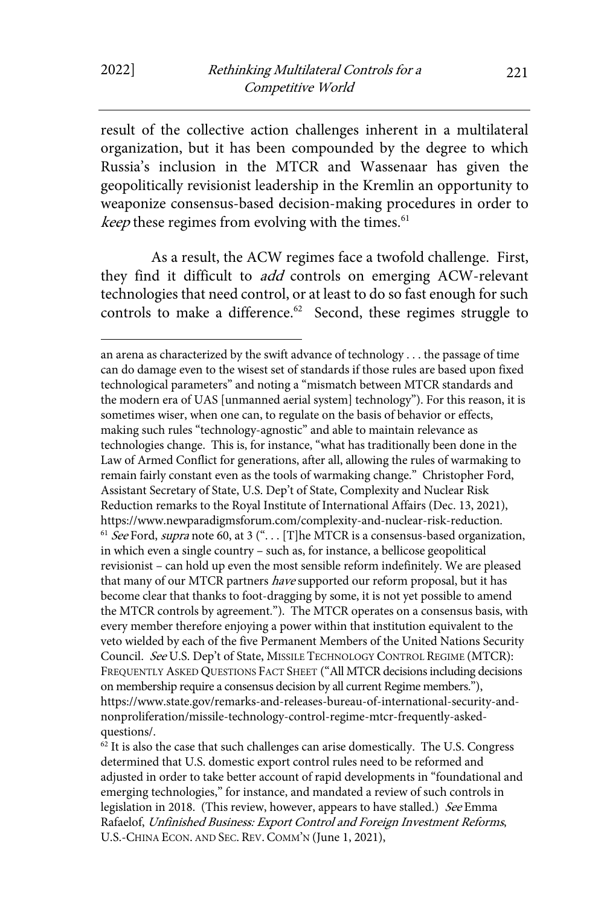result of the collective action challenges inherent in a multilateral organization, but it has been compounded by the degree to which Russia's inclusion in the MTCR and Wassenaar has given the geopolitically revisionist leadership in the Kremlin an opportunity to weaponize consensus-based decision-making procedures in order to keep these regimes from evolving with the times. $61$ 

As a result, the ACW regimes face a twofold challenge. First, they find it difficult to *add* controls on emerging ACW-relevant technologies that need control, or at least to do so fast enough for such controls to make a difference.<sup>62</sup> Second, these regimes struggle to

an arena as characterized by the swift advance of technology . . . the passage of time can do damage even to the wisest set of standards if those rules are based upon fixed technological parameters" and noting a "mismatch between MTCR standards and the modern era of UAS [unmanned aerial system] technology"). For this reason, it is sometimes wiser, when one can, to regulate on the basis of behavior or effects, making such rules "technology-agnostic" and able to maintain relevance as technologies change. This is, for instance, "what has traditionally been done in the Law of Armed Conflict for generations, after all, allowing the rules of warmaking to remain fairly constant even as the tools of warmaking change." Christopher Ford, Assistant Secretary of State, U.S. Dep't of State, Complexity and Nuclear Risk Reduction remarks to the Royal Institute of International Affairs (Dec. 13, 2021), https://www.newparadigmsforum.com/complexity-and-nuclear-risk-reduction.<br><sup>61</sup> See Ford, supra note 60, at 3 ("... [T]he MTCR is a consensus-based organization, in which even a single country – such as, for instance, a bellicose geopolitical revisionist – can hold up even the most sensible reform indefinitely. We are pleased that many of our MTCR partners have supported our reform proposal, but it has become clear that thanks to foot-dragging by some, it is not yet possible to amend the MTCR controls by agreement."). The MTCR operates on a consensus basis, with every member therefore enjoying a power within that institution equivalent to the veto wielded by each of the five Permanent Members of the United Nations Security Council. See U.S. Dep't of State, MISSILE TECHNOLOGY CONTROL REGIME (MTCR): FREQUENTLY ASKED QUESTIONS FACT SHEET ("All MTCR decisions including decisions on membership require a consensus decision by all current Regime members."), https://www.state.gov/remarks-and-releases-bureau-of-international-security-andnonproliferation/missile-technology-control-regime-mtcr-frequently-askedquestions/.<br> $\frac{62}{11}$  it is also the case that such challenges can arise domestically. The U.S. Congress

determined that U.S. domestic export control rules need to be reformed and adjusted in order to take better account of rapid developments in "foundational and emerging technologies," for instance, and mandated a review of such controls in legislation in 2018. (This review, however, appears to have stalled.) See Emma Rafaelof, Unfinished Business: Export Control and Foreign Investment Reforms, U.S.-CHINA ECON. AND SEC. REV. COMM'N (June 1, 2021),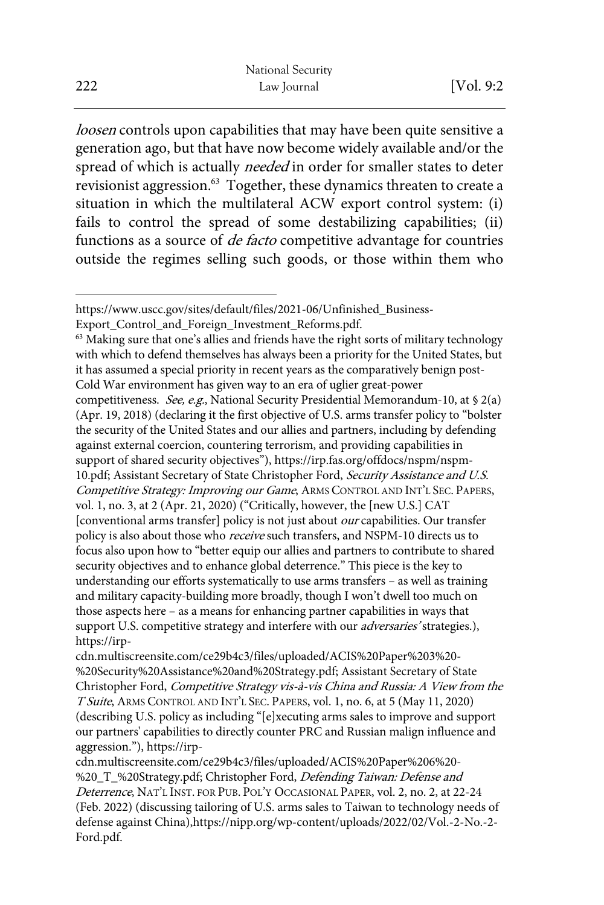loosen controls upon capabilities that may have been quite sensitive a generation ago, but that have now become widely available and/or the spread of which is actually needed in order for smaller states to deter revisionist aggression.<sup>63</sup> Together, these dynamics threaten to create a situation in which the multilateral ACW export control system: (i) fails to control the spread of some destabilizing capabilities; (ii) functions as a source of *de facto* competitive advantage for countries outside the regimes selling such goods, or those within them who

with which to defend themselves has always been a priority for the United States, but it has assumed a special priority in recent years as the comparatively benign post-Cold War environment has given way to an era of uglier great-power competitiveness. See, e.g., National Security Presidential Memorandum-10, at § 2(a) (Apr. 19, 2018) (declaring it the first objective of U.S. arms transfer policy to "bolster the security of the United States and our allies and partners, including by defending against external coercion, countering terrorism, and providing capabilities in support of shared security objectives"), https://irp.fas.org/offdocs/nspm/nspm-10.pdf; Assistant Secretary of State Christopher Ford, Security Assistance and U.S. Competitive Strategy: Improving our Game, ARMS CONTROL AND INT'L SEC. PAPERS,

vol. 1, no. 3, at 2 (Apr. 21, 2020) ("Critically, however, the [new U.S.] CAT [conventional arms transfer] policy is not just about our capabilities. Our transfer policy is also about those who *receive* such transfers, and NSPM-10 directs us to focus also upon how to "better equip our allies and partners to contribute to shared security objectives and to enhance global deterrence." This piece is the key to understanding our efforts systematically to use arms transfers – as well as training and military capacity-building more broadly, though I won't dwell too much on those aspects here – as a means for enhancing partner capabilities in ways that support U.S. competitive strategy and interfere with our *adversaries*' strategies.), https://irp-

cdn.multiscreensite.com/ce29b4c3/files/uploaded/ACIS%20Paper%203%20- %20Security%20Assistance%20and%20Strategy.pdf; Assistant Secretary of State Christopher Ford, Competitive Strategy vis-à-vis China and Russia: A View from the T Suite, ARMS CONTROL AND INT'L SEC. PAPERS, vol. 1, no. 6, at 5 (May 11, 2020) (describing U.S. policy as including "[e]xecuting arms sales to improve and support our partners' capabilities to directly counter PRC and Russian malign influence and aggression."), https://irp-

cdn.multiscreensite.com/ce29b4c3/files/uploaded/ACIS%20Paper%206%20- %20\_T\_%20Strategy.pdf; Christopher Ford, Defending Taiwan: Defense and Deterrence, NAT'L INST. FOR PUB. POL'Y OCCASIONAL PAPER, vol. 2, no. 2, at 22-24 (Feb. 2022) (discussing tailoring of U.S. arms sales to Taiwan to technology needs of defense against China),https://nipp.org/wp-content/uploads/2022/02/Vol.-2-No.-2- Ford.pdf.

https://www.uscc.gov/sites/default/files/2021-06/Unfinished\_Business-Export\_Control\_and\_Foreign\_Investment\_Reforms.pdf.<br><sup>63</sup> Making sure that one's allies and friends have the right sorts of military technology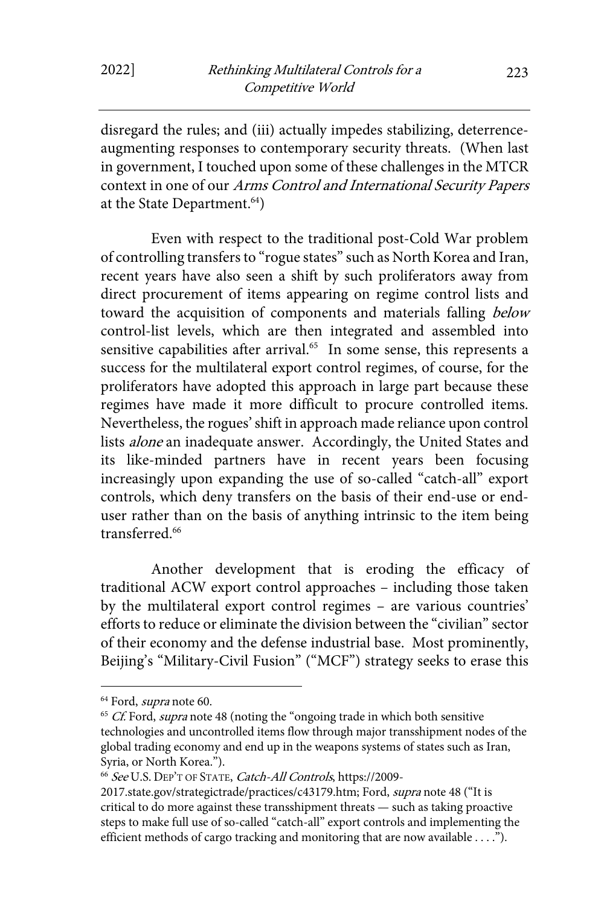disregard the rules; and (iii) actually impedes stabilizing, deterrenceaugmenting responses to contemporary security threats. (When last in government, I touched upon some of these challenges in the MTCR context in one of our Arms Control and International Security Papers at the State Department.<sup>64</sup>)

Even with respect to the traditional post-Cold War problem of controlling transfers to "rogue states" such as North Korea and Iran, recent years have also seen a shift by such proliferators away from direct procurement of items appearing on regime control lists and toward the acquisition of components and materials falling below control-list levels, which are then integrated and assembled into sensitive capabilities after arrival.<sup>65</sup> In some sense, this represents a success for the multilateral export control regimes, of course, for the proliferators have adopted this approach in large part because these regimes have made it more difficult to procure controlled items. Nevertheless, the rogues' shift in approach made reliance upon control lists *alone* an inadequate answer. Accordingly, the United States and its like-minded partners have in recent years been focusing increasingly upon expanding the use of so-called "catch-all" export controls, which deny transfers on the basis of their end-use or enduser rather than on the basis of anything intrinsic to the item being transferred.<sup>66</sup>

Another development that is eroding the efficacy of traditional ACW export control approaches – including those taken by the multilateral export control regimes – are various countries' efforts to reduce or eliminate the division between the "civilian" sector of their economy and the defense industrial base. Most prominently, Beijing's "Military-Civil Fusion" ("MCF") strategy seeks to erase this

<sup>&</sup>lt;sup>64</sup> Ford, *supra* note 60.<br><sup>65</sup> *Cf.* Ford, *supra* note 48 (noting the "ongoing trade in which both sensitive technologies and uncontrolled items flow through major transshipment nodes of the global trading economy and end up in the weapons systems of states such as Iran, Syria, or North Korea.").

<sup>66</sup> See U.S. DEP'T OF STATE, Catch-All Controls, https://2009-

<sup>2017.</sup>state.gov/strategictrade/practices/c43179.htm; Ford, supra note 48 ("It is critical to do more against these transshipment threats — such as taking proactive steps to make full use of so-called "catch-all" export controls and implementing the efficient methods of cargo tracking and monitoring that are now available . . . .").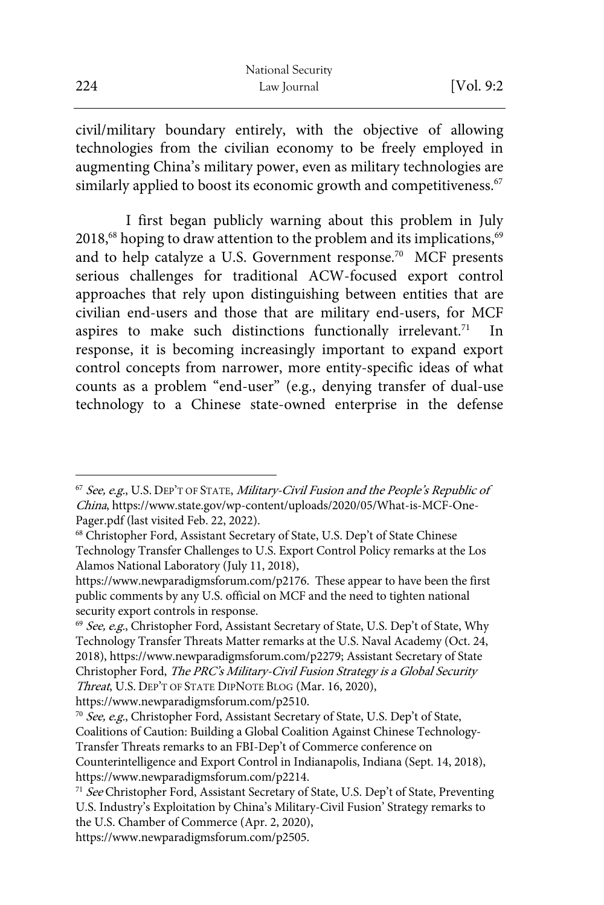|     | National Security |             |
|-----|-------------------|-------------|
| 224 | Law Journal       | [Vol. $9:2$ |

civil/military boundary entirely, with the objective of allowing technologies from the civilian economy to be freely employed in augmenting China's military power, even as military technologies are similarly applied to boost its economic growth and competitiveness.<sup>67</sup>

I first began publicly warning about this problem in July  $2018$ ,<sup>68</sup> hoping to draw attention to the problem and its implications,<sup>69</sup> and to help catalyze a U.S. Government response.<sup>70</sup> MCF presents serious challenges for traditional ACW-focused export control approaches that rely upon distinguishing between entities that are civilian end-users and those that are military end-users, for MCF aspires to make such distinctions functionally irrelevant.<sup>71</sup> 71 In response, it is becoming increasingly important to expand export control concepts from narrower, more entity-specific ideas of what counts as a problem "end-user" (e.g., denying transfer of dual-use technology to a Chinese state-owned enterprise in the defense

 $67$  See, e.g., U.S. DEP'T OF STATE, Military-Civil Fusion and the People's Republic of China, https://www.state.gov/wp-content/uploads/2020/05/What-is-MCF-One-Pager.pdf (last visited Feb. 22, 2022).

<sup>68</sup> Christopher Ford, Assistant Secretary of State, U.S. Dep't of State Chinese Technology Transfer Challenges to U.S. Export Control Policy remarks at the Los Alamos National Laboratory (July 11, 2018),

https://www.newparadigmsforum.com/p2176. These appear to have been the first public comments by any U.S. official on MCF and the need to tighten national security export controls in response.

<sup>&</sup>lt;sup>69</sup> See, e.g., Christopher Ford, Assistant Secretary of State, U.S. Dep't of State, Why Technology Transfer Threats Matter remarks at the U.S. Naval Academy (Oct. 24, 2018), https://www.newparadigmsforum.com/p2279; Assistant Secretary of State Christopher Ford, The PRC's Military-Civil Fusion Strategy is a Global Security Threat, U.S. DEP'T OF STATE DIPNOTE BLOG (Mar. 16, 2020),

https://www.newparadigmsforum.com/p2510.

<sup>70</sup> See, e.g., Christopher Ford, Assistant Secretary of State, U.S. Dep't of State, Coalitions of Caution: Building a Global Coalition Against Chinese Technology-Transfer Threats remarks to an FBI-Dep't of Commerce conference on Counterintelligence and Export Control in Indianapolis, Indiana (Sept. 14, 2018), https://www.newparadigmsforum.com/p2214.

<sup>&</sup>lt;sup>71</sup> See Christopher Ford, Assistant Secretary of State, U.S. Dep't of State, Preventing U.S. Industry's Exploitation by China's Military-Civil Fusion' Strategy remarks to the U.S. Chamber of Commerce (Apr. 2, 2020),

https://www.newparadigmsforum.com/p2505.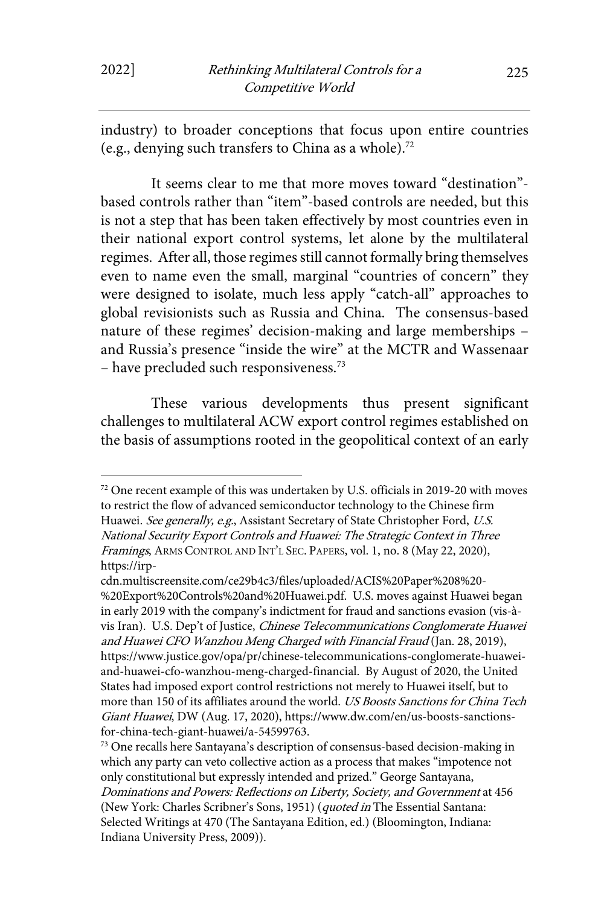industry) to broader conceptions that focus upon entire countries (e.g., denying such transfers to China as a whole).72

It seems clear to me that more moves toward "destination" based controls rather than "item"-based controls are needed, but this is not a step that has been taken effectively by most countries even in their national export control systems, let alone by the multilateral regimes. After all, those regimes still cannot formally bring themselves even to name even the small, marginal "countries of concern" they were designed to isolate, much less apply "catch-all" approaches to global revisionists such as Russia and China. The consensus-based nature of these regimes' decision-making and large memberships – and Russia's presence "inside the wire" at the MCTR and Wassenaar – have precluded such responsiveness.73

These various developments thus present significant challenges to multilateral ACW export control regimes established on the basis of assumptions rooted in the geopolitical context of an early

<sup>72</sup> One recent example of this was undertaken by U.S. officials in 2019-20 with moves to restrict the flow of advanced semiconductor technology to the Chinese firm Huawei. See generally, e.g., Assistant Secretary of State Christopher Ford, U.S. National Security Export Controls and Huawei: The Strategic Context in Three Framings, ARMS CONTROL AND INT'L SEC. PAPERS, vol. 1, no. 8 (May 22, 2020), https://irp-

cdn.multiscreensite.com/ce29b4c3/files/uploaded/ACIS%20Paper%208%20- %20Export%20Controls%20and%20Huawei.pdf. U.S. moves against Huawei began in early 2019 with the company's indictment for fraud and sanctions evasion (vis-àvis Iran). U.S. Dep't of Justice, Chinese Telecommunications Conglomerate Huawei and Huawei CFO Wanzhou Meng Charged with Financial Fraud (Jan. 28, 2019), https://www.justice.gov/opa/pr/chinese-telecommunications-conglomerate-huaweiand-huawei-cfo-wanzhou-meng-charged-financial. By August of 2020, the United States had imposed export control restrictions not merely to Huawei itself, but to more than 150 of its affiliates around the world. US Boosts Sanctions for China Tech Giant Huawei, DW (Aug. 17, 2020), https://www.dw.com/en/us-boosts-sanctionsfor-china-tech-giant-huawei/a-54599763.<br><sup>73</sup> One recalls here Santayana's description of consensus-based decision-making in

which any party can veto collective action as a process that makes "impotence not only constitutional but expressly intended and prized." George Santayana, Dominations and Powers: Reflections on Liberty, Society, and Government at 456 (New York: Charles Scribner's Sons, 1951) (quoted in The Essential Santana: Selected Writings at 470 (The Santayana Edition, ed.) (Bloomington, Indiana: Indiana University Press, 2009)).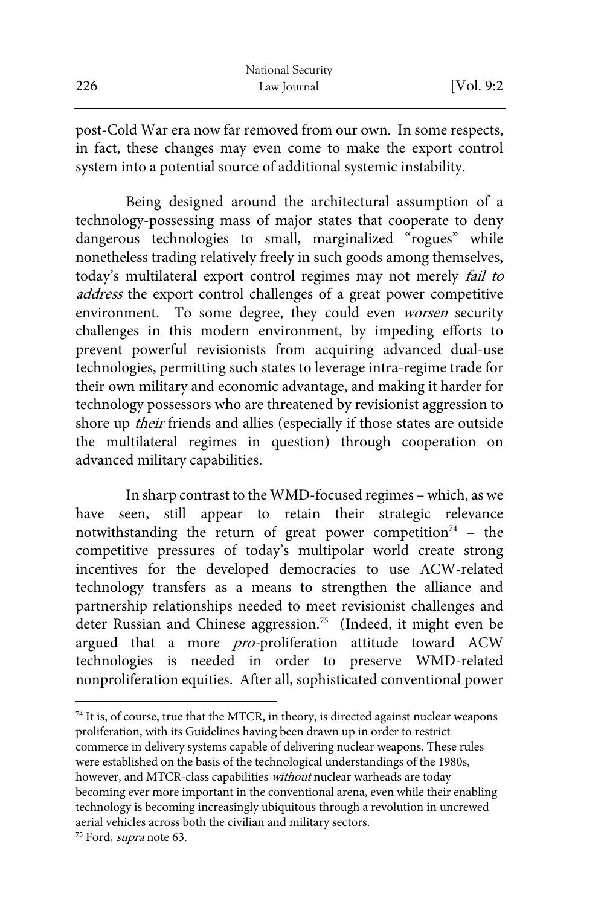|     | National Security |            |
|-----|-------------------|------------|
| 226 | Law Journal       | [Vol. 9:2] |

post-Cold War era now far removed from our own. In some respects, in fact, these changes may even come to make the export control system into a potential source of additional systemic instability.

Being designed around the architectural assumption of a technology-possessing mass of major states that cooperate to deny dangerous technologies to small, marginalized "rogues" while nonetheless trading relatively freely in such goods among themselves, today's multilateral export control regimes may not merely fail to address the export control challenges of a great power competitive environment. To some degree, they could even worsen security challenges in this modern environment, by impeding efforts to prevent powerful revisionists from acquiring advanced dual-use technologies, permitting such states to leverage intra-regime trade for their own military and economic advantage, and making it harder for technology possessors who are threatened by revisionist aggression to shore up their friends and allies (especially if those states are outside the multilateral regimes in question) through cooperation on advanced military capabilities.

In sharp contrast to the WMD-focused regimes – which, as we have seen, still appear to retain their strategic relevance appear to retain their strategic relevance notwithstanding the return of great power competition<sup>74</sup> - the competitive pressures of today's multipolar world create strong incentives for the developed democracies to use ACW-related technology transfers as a means to strengthen the alliance and partnership relationships needed to meet revisionist challenges and deter Russian and Chinese aggression. 75 (Indeed, it might even be argued that a more *pro-*proliferation attitude toward ACW technologies is needed in order to preserve WMD-related nonproliferation equities. After all, sophisticated conventional power

 $74$  It is, of course, true that the MTCR, in theory, is directed against nuclear weapons proliferation, with its Guidelines having been drawn up in order to restrict commerce in delivery systems capable of delivering nuclear weapons. These rules were established on the basis of the technological understandings of the 1980s, however, and MTCR-class capabilities without nuclear warheads are today becoming ever more important in the conventional arena, even while their enabling technology is becoming increasingly ubiquitous through a revolution in uncrewed aerial vehicles across both the civilian and military sectors.

<sup>&</sup>lt;sup>75</sup> Ford, *supra* note 63.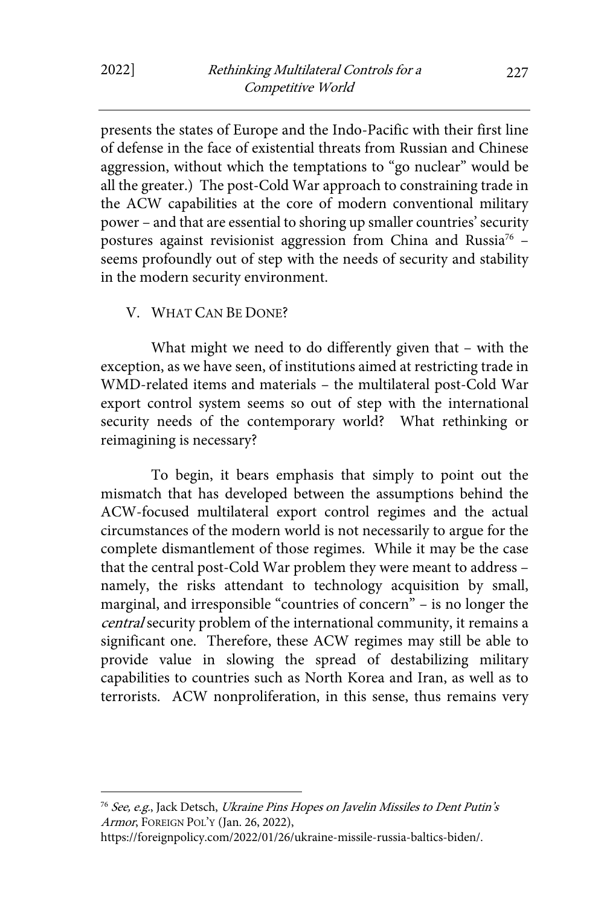presents the states of Europe and the Indo-Pacific with their first line of defense in the face of existential threats from Russian and Chinese aggression, without which the temptations to "go nuclear" would be all the greater.) The post-Cold War approach to constraining trade in the ACW capabilities at the core of modern conventional military power – and that are essential to shoring up smaller countries' security postures against revisionist aggression from China and Russia<sup>76</sup> seems profoundly out of step with the needs of security and stability in the modern security environment.

#### V. WHAT CAN BE DONE?

What might we need to do differently given that – with the exception, as we have seen, of institutions aimed at restricting trade in WMD-related items and materials – the multilateral post-Cold War export control system seems so out of step with the international security needs of the contemporary world? What rethinking or reimagining is necessary?

To begin, it bears emphasis that simply to point out the mismatch that has developed between the assumptions behind the ACW-focused multilateral export control regimes and the actual circumstances of the modern world is not necessarily to argue for the complete dismantlement of those regimes. While it may be the case that the central post-Cold War problem they were meant to address – namely, the risks attendant to technology acquisition by small, marginal, and irresponsible "countries of concern" – is no longer the central security problem of the international community, it remains a significant one. Therefore, these ACW regimes may still be able to provide value in slowing the spread of destabilizing military capabilities to countries such as North Korea and Iran, as well as to terrorists. ACW nonproliferation, in this sense, thus remains very

<sup>&</sup>lt;sup>76</sup> See, e.g., Jack Detsch, Ukraine Pins Hopes on Javelin Missiles to Dent Putin's Armor, FOREIGN POL'Y (Jan. 26, 2022),

https://foreignpolicy.com/2022/01/26/ukraine-missile-russia-baltics-biden/.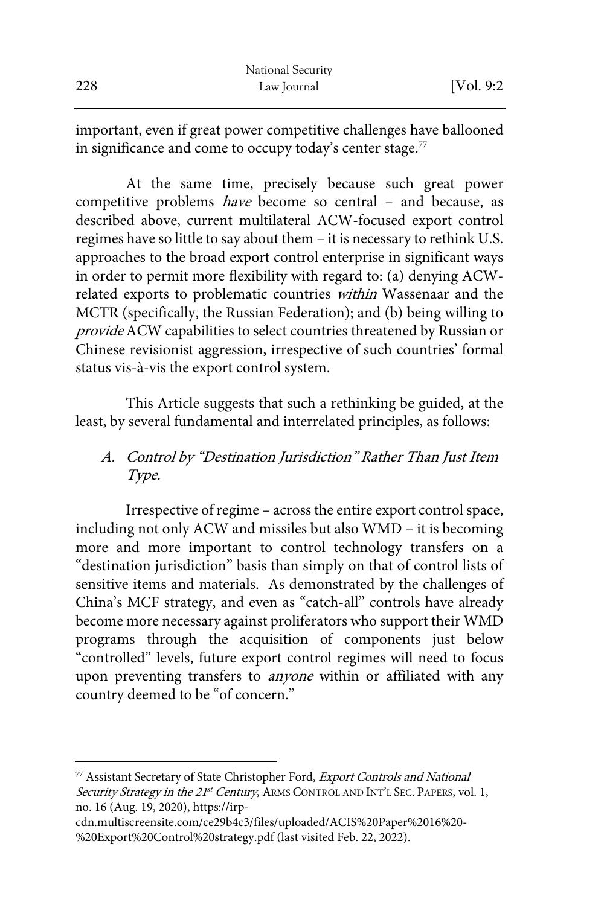|     | National Security |            |
|-----|-------------------|------------|
| 228 | Law Journal       | [Vol. 9:2] |

important, even if great power competitive challenges have ballooned in significance and come to occupy today's center stage. $^{77}$ 

At the same time, precisely because such great power competitive problems have become so central – and because, as described above, current multilateral ACW-focused export control regimes have so little to say about them – it is necessary to rethink U.S. approaches to the broad export control enterprise in significant ways in order to permit more flexibility with regard to: (a) denying ACWrelated exports to problematic countries within Wassenaar and the MCTR (specifically, the Russian Federation); and (b) being willing to provide ACW capabilities to select countries threatened by Russian or Chinese revisionist aggression, irrespective of such countries' formal status vis-à-vis the export control system.

This Article suggests that such a rethinking be guided, at the least, by several fundamental and interrelated principles, as follows:

### A. Control by "Destination Jurisdiction" Rather Than Just Item Type.

Irrespective of regime – across the entire export control space, including not only ACW and missiles but also WMD – it is becoming more and more important to control technology transfers on a "destination jurisdiction" basis than simply on that of control lists of sensitive items and materials. As demonstrated by the challenges of China's MCF strategy, and even as "catch-all" controls have already become more necessary against proliferators who support their WMD programs through the acquisition of components just below "controlled" levels, future export control regimes will need to focus upon preventing transfers to *anyone* within or affiliated with any country deemed to be "of concern."

<sup>77</sup> Assistant Secretary of State Christopher Ford, Export Controls and National Security Strategy in the 21<sup>st</sup> Century, ARMS CONTROL AND INT'L SEC. PAPERS, vol. 1, no. 16 (Aug. 19, 2020), https://irp-

cdn.multiscreensite.com/ce29b4c3/files/uploaded/ACIS%20Paper%2016%20- %20Export%20Control%20strategy.pdf (last visited Feb. 22, 2022).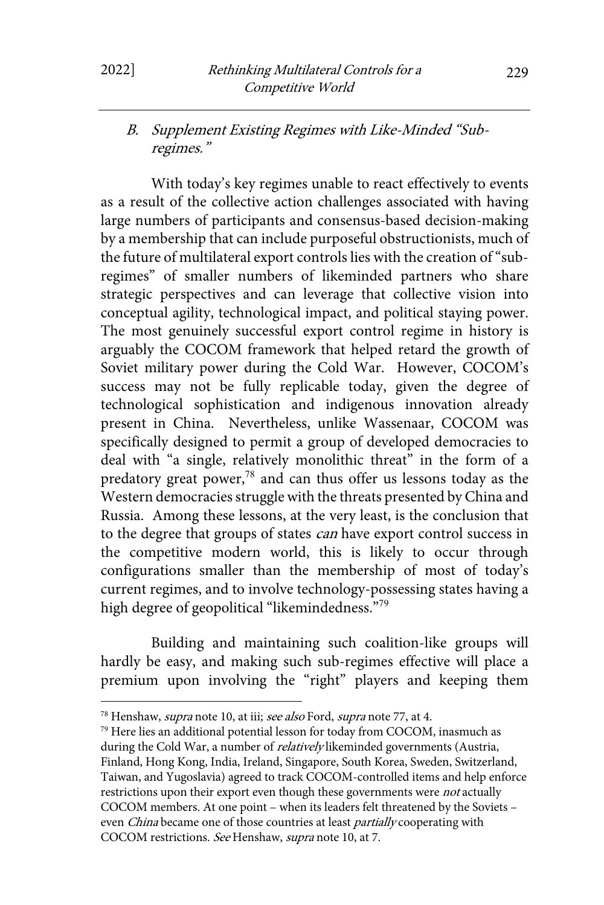### B. Supplement Existing Regimes with Like-Minded "Subregimes."

With today's key regimes unable to react effectively to events as a result of the collective action challenges associated with having large numbers of participants and consensus-based decision-making by a membership that can include purposeful obstructionists, much of the future of multilateral export controls lies with the creation of "subregimes" of smaller numbers of likeminded partners who share strategic perspectives and can leverage that collective vision into conceptual agility, technological impact, and political staying power. The most genuinely successful export control regime in history is arguably the COCOM framework that helped retard the growth of Soviet military power during the Cold War. However, COCOM's success may not be fully replicable today, given the degree of technological sophistication and indigenous innovation already present in China. Nevertheless, unlike Wassenaar, COCOM was specifically designed to permit a group of developed democracies to deal with "a single, relatively monolithic threat" in the form of a predatory great power,<sup>78</sup> and can thus offer us lessons today as the Western democracies struggle with the threats presented by China and Russia. Among these lessons, at the very least, is the conclusion that to the degree that groups of states *can* have export control success in the competitive modern world, this is likely to occur through configurations smaller than the membership of most of today's current regimes, and to involve technology-possessing states having a high degree of geopolitical "likemindedness."<sup>79</sup>

Building and maintaining such coalition-like groups will hardly be easy, and making such sub-regimes effective will place a premium upon involving the "right" players and keeping them

<sup>&</sup>lt;sup>78</sup> Henshaw, *supra* note 10, at iii; see also Ford, supra note 77, at 4.

 $79$  Here lies an additional potential lesson for today from COCOM, inasmuch as during the Cold War, a number of relatively likeminded governments (Austria, Finland, Hong Kong, India, Ireland, Singapore, South Korea, Sweden, Switzerland, Taiwan, and Yugoslavia) agreed to track COCOM-controlled items and help enforce restrictions upon their export even though these governments were not actually COCOM members. At one point – when its leaders felt threatened by the Soviets – even *China* became one of those countries at least *partially* cooperating with COCOM restrictions. See Henshaw, supra note 10, at 7.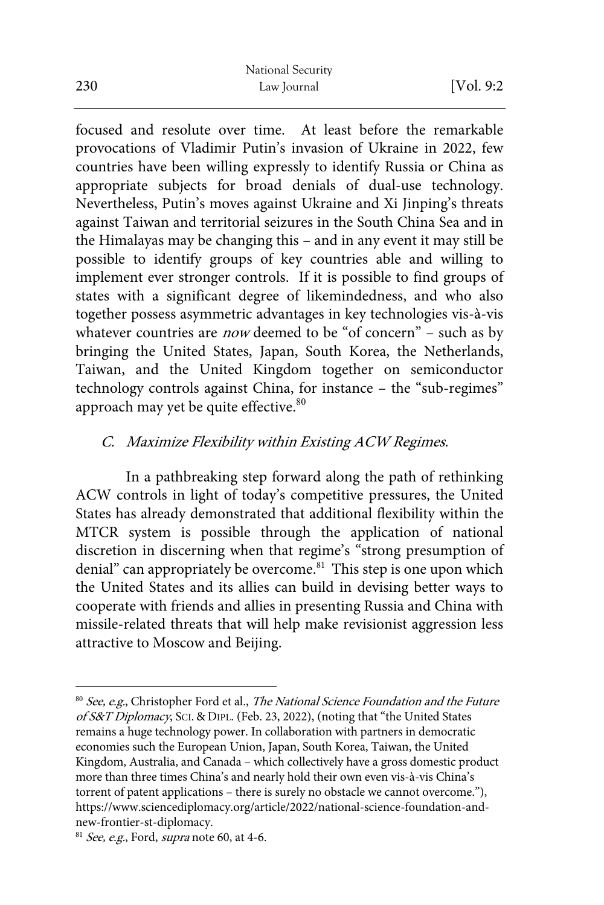focused and resolute over time. At least before the remarkable provocations of Vladimir Putin's invasion of Ukraine in 2022, few countries have been willing expressly to identify Russia or China as appropriate subjects for broad denials of dual-use technology. Nevertheless, Putin's moves against Ukraine and Xi Jinping's threats against Taiwan and territorial seizures in the South China Sea and in the Himalayas may be changing this – and in any event it may still be possible to identify groups of key countries able and willing to implement ever stronger controls. If it is possible to find groups of states with a significant degree of likemindedness, and who also together possess asymmetric advantages in key technologies vis-à-vis whatever countries are *now* deemed to be "of concern" – such as by bringing the United States, Japan, South Korea, the Netherlands, Taiwan, and the United Kingdom together on semiconductor technology controls against China, for instance – the "sub-regimes" approach may yet be quite effective.<sup>80</sup>

### C. Maximize Flexibility within Existing ACW Regimes.

In a pathbreaking step forward along the path of rethinking ACW controls in light of today's competitive pressures, the United States has already demonstrated that additional flexibility within the MTCR system is possible through the application of national discretion in discerning when that regime's "strong presumption of denial" can appropriately be overcome.<sup>81</sup> This step is one upon which the United States and its allies can build in devising better ways to cooperate with friends and allies in presenting Russia and China with missile-related threats that will help make revisionist aggression less attractive to Moscow and Beijing.

<sup>&</sup>lt;sup>80</sup> See, e.g., Christopher Ford et al., The National Science Foundation and the Future of S&T Diplomacy, SCI. & DIPL. (Feb. 23, 2022), (noting that "the United States remains a huge technology power. In collaboration with partners in democratic economies such the European Union, Japan, South Korea, Taiwan, the United Kingdom, Australia, and Canada – which collectively have a gross domestic product more than three times China's and nearly hold their own even vis-à-vis China's torrent of patent applications – there is surely no obstacle we cannot overcome."), https://www.sciencediplomacy.org/article/2022/national-science-foundation-andnew-frontier-st-diplomacy.<br><sup>81</sup> See, e.g., Ford, supra note 60, at 4-6.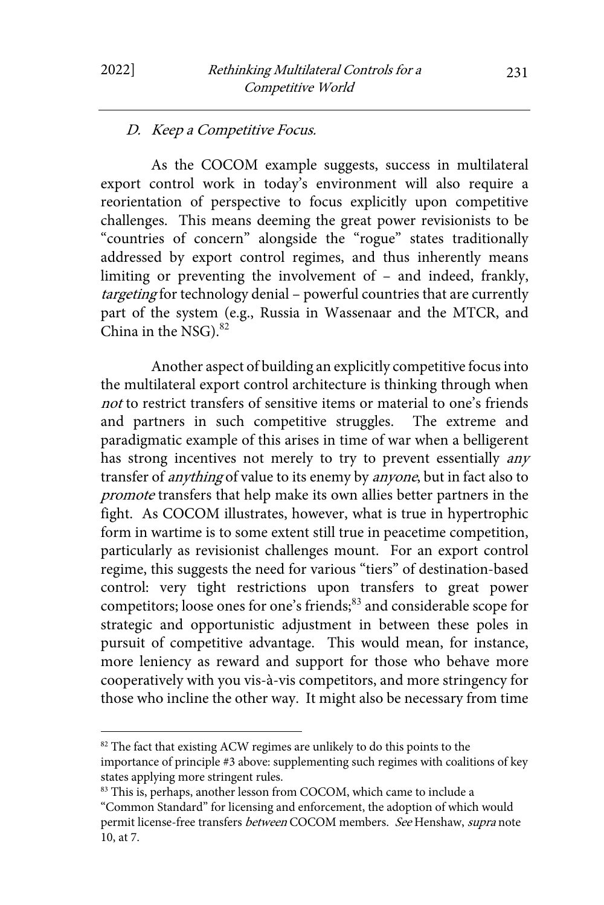#### D. Keep a Competitive Focus.

As the COCOM example suggests, success in multilateral export control work in today's environment will also require a reorientation of perspective to focus explicitly upon competitive challenges. This means deeming the great power revisionists to be "countries of concern" alongside the "rogue" states traditionally addressed by export control regimes, and thus inherently means limiting or preventing the involvement of – and indeed, frankly, targeting for technology denial – powerful countries that are currently part of the system (e.g., Russia in Wassenaar and the MTCR, and China in the NSG). $82$ 

Another aspect of building an explicitly competitive focus into the multilateral export control architecture is thinking through when not to restrict transfers of sensitive items or material to one's friends and partners in such competitive struggles. The extreme and paradigmatic example of this arises in time of war when a belligerent has strong incentives not merely to try to prevent essentially *any* transfer of *anything* of value to its enemy by *anyone*, but in fact also to promote transfers that help make its own allies better partners in the fight. As COCOM illustrates, however, what is true in hypertrophic form in wartime is to some extent still true in peacetime competition, particularly as revisionist challenges mount. For an export control regime, this suggests the need for various "tiers" of destination-based control: very tight restrictions upon transfers to great power competitors; loose ones for one's friends;<sup>83</sup> and considerable scope for strategic and opportunistic adjustment in between these poles in pursuit of competitive advantage. This would mean, for instance, more leniency as reward and support for those who behave more cooperatively with you vis-à-vis competitors, and more stringency for those who incline the other way. It might also be necessary from time

<sup>&</sup>lt;sup>82</sup> The fact that existing ACW regimes are unlikely to do this points to the importance of principle #3 above: supplementing such regimes with coalitions of key states applying more stringent rules.

<sup>&</sup>lt;sup>83</sup> This is, perhaps, another lesson from COCOM, which came to include a "Common Standard" for licensing and enforcement, the adoption of which would permit license-free transfers between COCOM members. See Henshaw, supra note 10, at 7.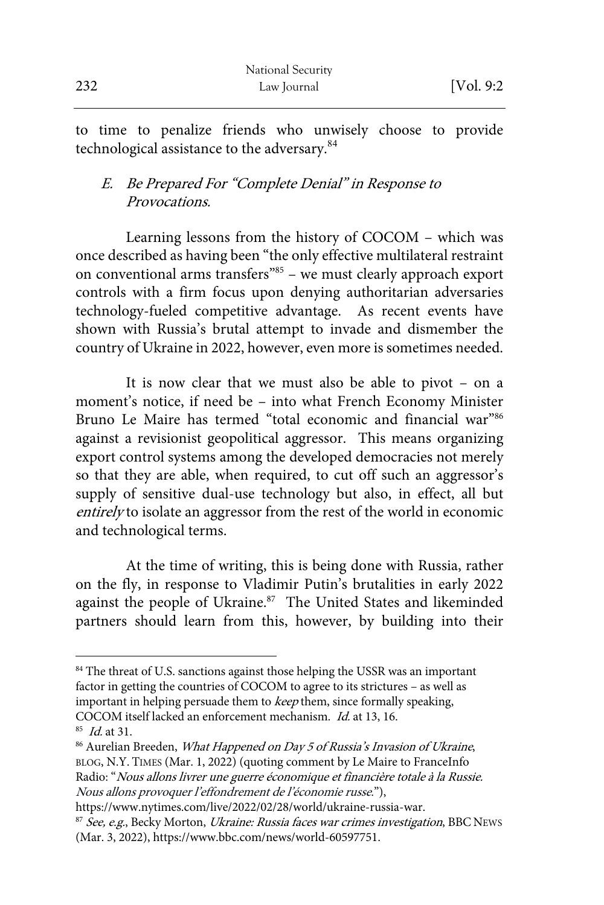to time to penalize friends who unwisely choose to provide technological assistance to the adversary.<sup>84</sup>

## E. Be Prepared For "Complete Denial" in Response to Provocations.

Learning lessons from the history of COCOM – which was once described as having been "the only effective multilateral restraint on conventional arms transfers"85 – we must clearly approach export controls with a firm focus upon denying authoritarian adversaries technology-fueled competitive advantage. As recent events have shown with Russia's brutal attempt to invade and dismember the country of Ukraine in 2022, however, even more is sometimes needed.

It is now clear that we must also be able to pivot – on a moment's notice, if need be – into what French Economy Minister Bruno Le Maire has termed "total economic and financial war"86 against a revisionist geopolitical aggressor. This means organizing export control systems among the developed democracies not merely so that they are able, when required, to cut off such an aggressor's supply of sensitive dual-use technology but also, in effect, all but entirely to isolate an aggressor from the rest of the world in economic and technological terms.

At the time of writing, this is being done with Russia, rather on the fly, in response to Vladimir Putin's brutalities in early 2022 against the people of Ukraine.<sup>87</sup> The United States and likeminded partners should learn from this, however, by building into their

<sup>&</sup>lt;sup>84</sup> The threat of U.S. sanctions against those helping the USSR was an important factor in getting the countries of COCOM to agree to its strictures – as well as important in helping persuade them to keep them, since formally speaking, COCOM itself lacked an enforcement mechanism. *Id.* at 13, 16.<br><sup>85</sup> *Id.* at 31.

<sup>&</sup>lt;sup>86</sup> Aurelian Breeden, What Happened on Day 5 of Russia's Invasion of Ukraine, BLOG, N.Y. TIMES (Mar. 1, 2022) (quoting comment by Le Maire to FranceInfo Radio: "Nous allons livrer une guerre économique et financière totale à la Russie. Nous allons provoquer l'effondrement de l'économie russe."),

https://www.nytimes.com/live/2022/02/28/world/ukraine-russia-war.<br><sup>87</sup> See, e.g., Becky Morton, *Ukraine: Russia faces war crimes investigation*, BBC NEWS (Mar. 3, 2022), https://www.bbc.com/news/world-60597751.